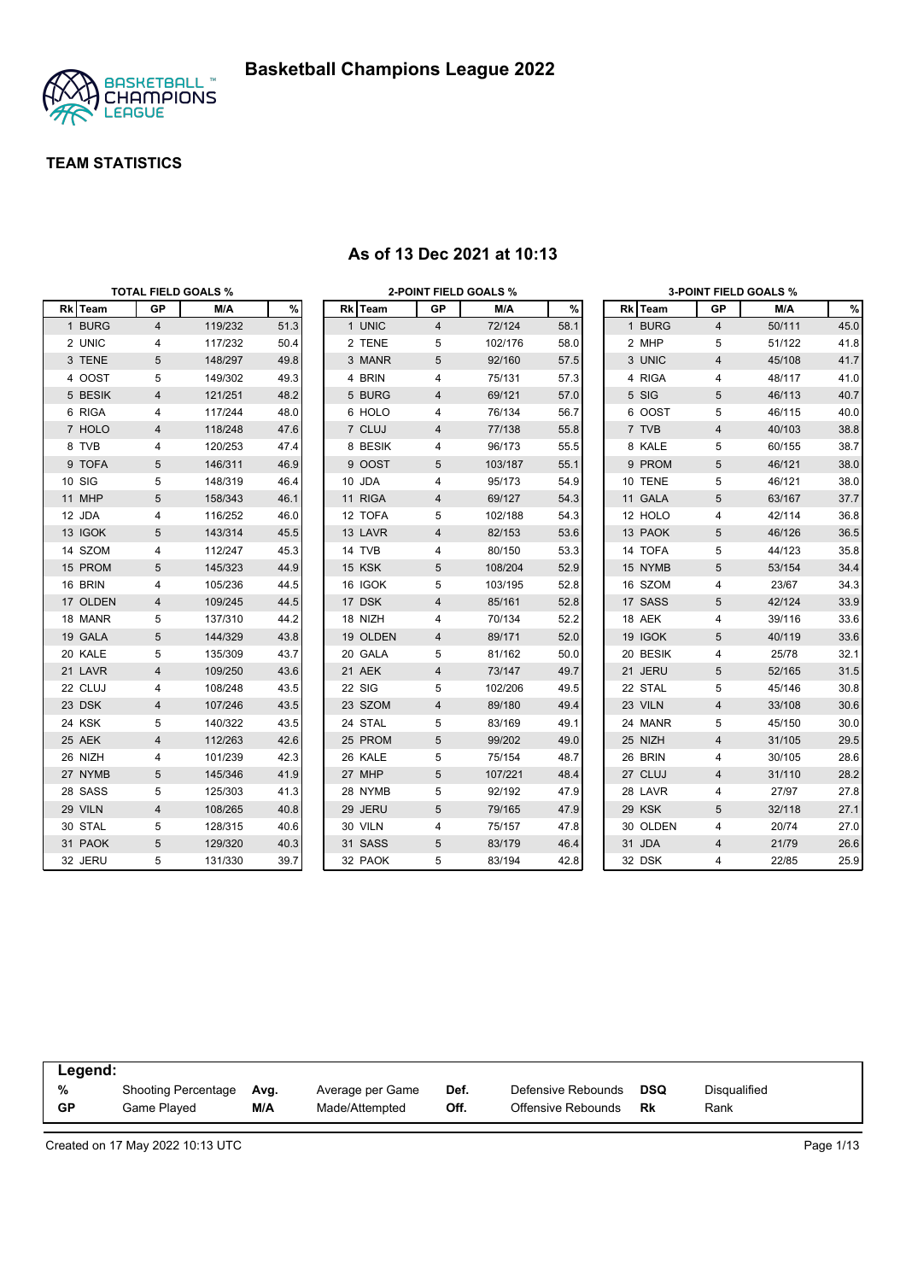

|          |                | <b>TOTAL FIELD GOALS %</b> |      |          |                | <b>2-POINT FIELD GOALS %</b> |      |          |                | <b>3-POINT FIELD GOALS %</b> |      |
|----------|----------------|----------------------------|------|----------|----------------|------------------------------|------|----------|----------------|------------------------------|------|
| Rk Team  | GP             | M/A                        | $\%$ | Rk Team  | GP             | M/A                          | $\%$ | Rk Team  | GP             | M/A                          | $\%$ |
| 1 BURG   | $\overline{4}$ | 119/232                    | 51.3 | 1 UNIC   | $\overline{4}$ | 72/124                       | 58.1 | 1 BURG   | 4              | 50/111                       | 45.0 |
| 2 UNIC   | 4              | 117/232                    | 50.4 | 2 TENE   | 5              | 102/176                      | 58.0 | 2 MHP    | 5              | 51/122                       | 41.8 |
| 3 TENE   | 5              | 148/297                    | 49.8 | 3 MANR   | 5              | 92/160                       | 57.5 | 3 UNIC   | 4              | 45/108                       | 41.7 |
| 4 OOST   | 5              | 149/302                    | 49.3 | 4 BRIN   | 4              | 75/131                       | 57.3 | 4 RIGA   | 4              | 48/117                       | 41.0 |
| 5 BESIK  | 4              | 121/251                    | 48.2 | 5 BURG   | 4              | 69/121                       | 57.0 | 5 SIG    | 5              | 46/113                       | 40.7 |
| 6 RIGA   | 4              | 117/244                    | 48.0 | 6 HOLO   | 4              | 76/134                       | 56.7 | 6 OOST   | 5              | 46/115                       | 40.0 |
| 7 HOLO   | 4              | 118/248                    | 47.6 | 7 CLUJ   | 4              | 77/138                       | 55.8 | 7 TVB    | 4              | 40/103                       | 38.8 |
| 8 TVB    | 4              | 120/253                    | 47.4 | 8 BESIK  | 4              | 96/173                       | 55.5 | 8 KALE   | 5              | 60/155                       | 38.7 |
| 9 TOFA   | 5              | 146/311                    | 46.9 | 9 OOST   | 5              | 103/187                      | 55.1 | 9 PROM   | 5              | 46/121                       | 38.0 |
| 10 SIG   | 5              | 148/319                    | 46.4 | 10 JDA   | 4              | 95/173                       | 54.9 | 10 TENE  | 5              | 46/121                       | 38.0 |
| 11 MHP   | 5              | 158/343                    | 46.1 | 11 RIGA  | 4              | 69/127                       | 54.3 | 11 GALA  | 5              | 63/167                       | 37.7 |
| 12 JDA   | 4              | 116/252                    | 46.0 | 12 TOFA  | 5              | 102/188                      | 54.3 | 12 HOLO  | 4              | 42/114                       | 36.8 |
| 13 IGOK  | 5              | 143/314                    | 45.5 | 13 LAVR  | 4              | 82/153                       | 53.6 | 13 PAOK  | 5              | 46/126                       | 36.5 |
| 14 SZOM  | 4              | 112/247                    | 45.3 | 14 TVB   | 4              | 80/150                       | 53.3 | 14 TOFA  | 5              | 44/123                       | 35.8 |
| 15 PROM  | $\sqrt{5}$     | 145/323                    | 44.9 | 15 KSK   | 5              | 108/204                      | 52.9 | 15 NYMB  | 5              | 53/154                       | 34.4 |
| 16 BRIN  | 4              | 105/236                    | 44.5 | 16 IGOK  | 5              | 103/195                      | 52.8 | 16 SZOM  | 4              | 23/67                        | 34.3 |
| 17 OLDEN | 4              | 109/245                    | 44.5 | 17 DSK   | 4              | 85/161                       | 52.8 | 17 SASS  | 5              | 42/124                       | 33.9 |
| 18 MANR  | 5              | 137/310                    | 44.2 | 18 NIZH  | 4              | 70/134                       | 52.2 | 18 AEK   | 4              | 39/116                       | 33.6 |
| 19 GALA  | 5              | 144/329                    | 43.8 | 19 OLDEN | 4              | 89/171                       | 52.0 | 19 IGOK  | 5              | 40/119                       | 33.6 |
| 20 KALE  | 5              | 135/309                    | 43.7 | 20 GALA  | 5              | 81/162                       | 50.0 | 20 BESIK | 4              | 25/78                        | 32.1 |
| 21 LAVR  | 4              | 109/250                    | 43.6 | 21 AEK   | 4              | 73/147                       | 49.7 | 21 JERU  | 5              | 52/165                       | 31.5 |
| 22 CLUJ  | 4              | 108/248                    | 43.5 | 22 SIG   | 5              | 102/206                      | 49.5 | 22 STAL  | 5              | 45/146                       | 30.8 |
| 23 DSK   | 4              | 107/246                    | 43.5 | 23 SZOM  | 4              | 89/180                       | 49.4 | 23 VILN  | $\overline{4}$ | 33/108                       | 30.6 |
| 24 KSK   | 5              | 140/322                    | 43.5 | 24 STAL  | 5              | 83/169                       | 49.1 | 24 MANR  | 5              | 45/150                       | 30.0 |
| 25 AEK   | 4              | 112/263                    | 42.6 | 25 PROM  | 5              | 99/202                       | 49.0 | 25 NIZH  | 4              | 31/105                       | 29.5 |
| 26 NIZH  | 4              | 101/239                    | 42.3 | 26 KALE  | 5              | 75/154                       | 48.7 | 26 BRIN  | 4              | 30/105                       | 28.6 |
| 27 NYMB  | 5              | 145/346                    | 41.9 | 27 MHP   | 5              | 107/221                      | 48.4 | 27 CLUJ  | $\overline{4}$ | 31/110                       | 28.2 |
| 28 SASS  | 5              | 125/303                    | 41.3 | 28 NYMB  | 5              | 92/192                       | 47.9 | 28 LAVR  | 4              | 27/97                        | 27.8 |
| 29 VILN  | 4              | 108/265                    | 40.8 | 29 JERU  | 5              | 79/165                       | 47.9 | 29 KSK   | 5              | 32/118                       | 27.1 |
| 30 STAL  | 5              | 128/315                    | 40.6 | 30 VILN  | 4              | 75/157                       | 47.8 | 30 OLDEN | 4              | 20/74                        | 27.0 |
| 31 PAOK  | 5              | 129/320                    | 40.3 | 31 SASS  | 5              | 83/179                       | 46.4 | 31 JDA   | 4              | 21/79                        | 26.6 |
| 32 JERU  | 5              | 131/330                    | 39.7 | 32 PAOK  | 5              | 83/194                       | 42.8 | 32 DSK   | 4              | 22/85                        | 25.9 |

#### **As of 13 Dec 2021 at 10:13**

| Legend:   |                     |      |                  |      |                    |            |              |
|-----------|---------------------|------|------------------|------|--------------------|------------|--------------|
| %         | Shooting Percentage | Ava. | Average per Game | Def. | Defensive Rebounds | <b>DSQ</b> | Disgualified |
| <b>GP</b> | Game Played         | M/A  | Made/Attempted   | Off. | Offensive Rebounds | Rk         | Rank         |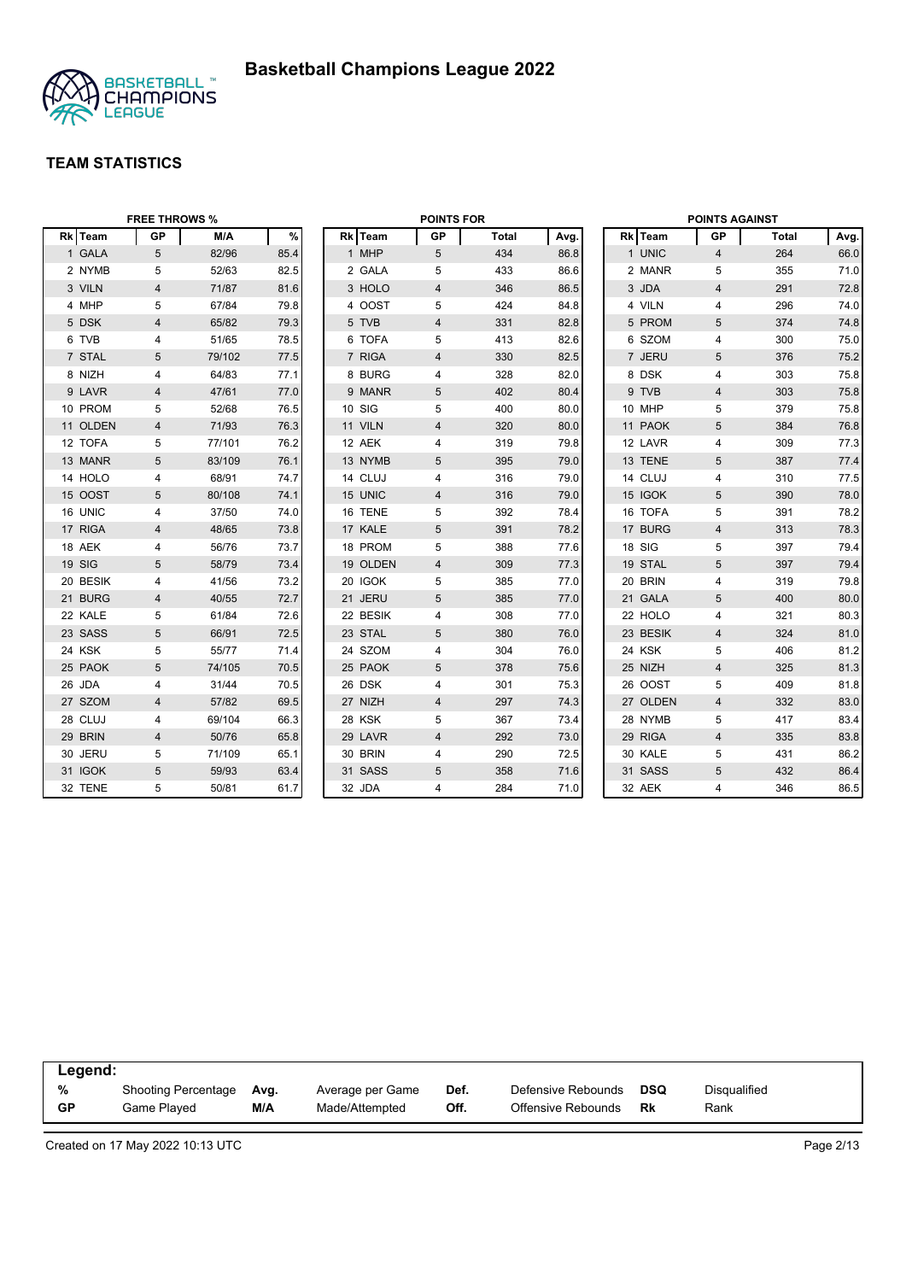

|          | <b>FREE THROWS %</b> |        |      |          | <b>POINTS FOR</b>       |              |      |          | <b>POINTS AGAINST</b>   |       |      |
|----------|----------------------|--------|------|----------|-------------------------|--------------|------|----------|-------------------------|-------|------|
| Rk Team  | <b>GP</b>            | M/A    | $\%$ | Rk Team  | <b>GP</b>               | <b>Total</b> | Avg. | Rk Team  | GP                      | Total | Avg. |
| 1 GALA   | 5                    | 82/96  | 85.4 | 1 MHP    | 5                       | 434          | 86.8 | 1 UNIC   | $\overline{4}$          | 264   | 66.0 |
| 2 NYMB   | 5                    | 52/63  | 82.5 | 2 GALA   | 5                       | 433          | 86.6 | 2 MANR   | 5                       | 355   | 71.0 |
| 3 VILN   | 4                    | 71/87  | 81.6 | 3 HOLO   | 4                       | 346          | 86.5 | 3 JDA    | $\overline{4}$          | 291   | 72.8 |
| 4 MHP    | 5                    | 67/84  | 79.8 | 4 OOST   | 5                       | 424          | 84.8 | 4 VILN   | 4                       | 296   | 74.0 |
| 5 DSK    | 4                    | 65/82  | 79.3 | 5 TVB    | $\overline{4}$          | 331          | 82.8 | 5 PROM   | 5                       | 374   | 74.8 |
| 6 TVB    | 4                    | 51/65  | 78.5 | 6 TOFA   | 5                       | 413          | 82.6 | 6 SZOM   | 4                       | 300   | 75.0 |
| 7 STAL   | $\overline{5}$       | 79/102 | 77.5 | 7 RIGA   | $\overline{4}$          | 330          | 82.5 | 7 JERU   | 5                       | 376   | 75.2 |
| 8 NIZH   | 4                    | 64/83  | 77.1 | 8 BURG   | 4                       | 328          | 82.0 | 8 DSK    | 4                       | 303   | 75.8 |
| 9 LAVR   | 4                    | 47/61  | 77.0 | 9 MANR   | 5                       | 402          | 80.4 | 9 TVB    | $\overline{4}$          | 303   | 75.8 |
| 10 PROM  | 5                    | 52/68  | 76.5 | 10 SIG   | 5                       | 400          | 80.0 | 10 MHP   | 5                       | 379   | 75.8 |
| 11 OLDEN | 4                    | 71/93  | 76.3 | 11 VILN  | $\overline{\mathbf{4}}$ | 320          | 80.0 | 11 PAOK  | 5                       | 384   | 76.8 |
| 12 TOFA  | 5                    | 77/101 | 76.2 | 12 AEK   | 4                       | 319          | 79.8 | 12 LAVR  | 4                       | 309   | 77.3 |
| 13 MANR  | 5                    | 83/109 | 76.1 | 13 NYMB  | 5                       | 395          | 79.0 | 13 TENE  | 5                       | 387   | 77.4 |
| 14 HOLO  | 4                    | 68/91  | 74.7 | 14 CLUJ  | 4                       | 316          | 79.0 | 14 CLUJ  | $\overline{4}$          | 310   | 77.5 |
| 15 OOST  | 5                    | 80/108 | 74.1 | 15 UNIC  | 4                       | 316          | 79.0 | 15 IGOK  | 5                       | 390   | 78.0 |
| 16 UNIC  | 4                    | 37/50  | 74.0 | 16 TENE  | 5                       | 392          | 78.4 | 16 TOFA  | 5                       | 391   | 78.2 |
| 17 RIGA  | $\overline{4}$       | 48/65  | 73.8 | 17 KALE  | 5                       | 391          | 78.2 | 17 BURG  | $\overline{4}$          | 313   | 78.3 |
| 18 AEK   | 4                    | 56/76  | 73.7 | 18 PROM  | 5                       | 388          | 77.6 | 18 SIG   | 5                       | 397   | 79.4 |
| 19 SIG   | 5                    | 58/79  | 73.4 | 19 OLDEN | 4                       | 309          | 77.3 | 19 STAL  | 5                       | 397   | 79.4 |
| 20 BESIK | 4                    | 41/56  | 73.2 | 20 IGOK  | 5                       | 385          | 77.0 | 20 BRIN  | 4                       | 319   | 79.8 |
| 21 BURG  | $\overline{4}$       | 40/55  | 72.7 | 21 JERU  | 5                       | 385          | 77.0 | 21 GALA  | 5                       | 400   | 80.0 |
| 22 KALE  | 5                    | 61/84  | 72.6 | 22 BESIK | 4                       | 308          | 77.0 | 22 HOLO  | 4                       | 321   | 80.3 |
| 23 SASS  | $\sqrt{5}$           | 66/91  | 72.5 | 23 STAL  | 5                       | 380          | 76.0 | 23 BESIK | $\overline{\mathbf{4}}$ | 324   | 81.0 |
| 24 KSK   | 5                    | 55/77  | 71.4 | 24 SZOM  | 4                       | 304          | 76.0 | 24 KSK   | 5                       | 406   | 81.2 |
| 25 PAOK  | $5\phantom{.0}$      | 74/105 | 70.5 | 25 PAOK  | 5                       | 378          | 75.6 | 25 NIZH  | $\overline{4}$          | 325   | 81.3 |
| 26 JDA   | 4                    | 31/44  | 70.5 | 26 DSK   | 4                       | 301          | 75.3 | 26 OOST  | 5                       | 409   | 81.8 |
| 27 SZOM  | $\overline{4}$       | 57/82  | 69.5 | 27 NIZH  | $\overline{4}$          | 297          | 74.3 | 27 OLDEN | $\overline{4}$          | 332   | 83.0 |
| 28 CLUJ  | 4                    | 69/104 | 66.3 | 28 KSK   | 5                       | 367          | 73.4 | 28 NYMB  | 5                       | 417   | 83.4 |
| 29 BRIN  | 4                    | 50/76  | 65.8 | 29 LAVR  | $\overline{4}$          | 292          | 73.0 | 29 RIGA  | $\overline{4}$          | 335   | 83.8 |
| 30 JERU  | 5                    | 71/109 | 65.1 | 30 BRIN  | 4                       | 290          | 72.5 | 30 KALE  | 5                       | 431   | 86.2 |
| 31 IGOK  | 5                    | 59/93  | 63.4 | 31 SASS  | 5                       | 358          | 71.6 | 31 SASS  | 5                       | 432   | 86.4 |
| 32 TENE  | 5                    | 50/81  | 61.7 | 32 JDA   | 4                       | 284          | 71.0 | 32 AEK   | 4                       | 346   | 86.5 |

| Legend:   |                            |      |                  |      |                    |     |                     |  |
|-----------|----------------------------|------|------------------|------|--------------------|-----|---------------------|--|
| %         | <b>Shooting Percentage</b> | Ava. | Average per Game | Def. | Defensive Rebounds | DSQ | <b>Disqualified</b> |  |
| <b>GP</b> | Game Plaved                | M/A  | Made/Attempted   | Off. | Offensive Rebounds | Rk  | Rank                |  |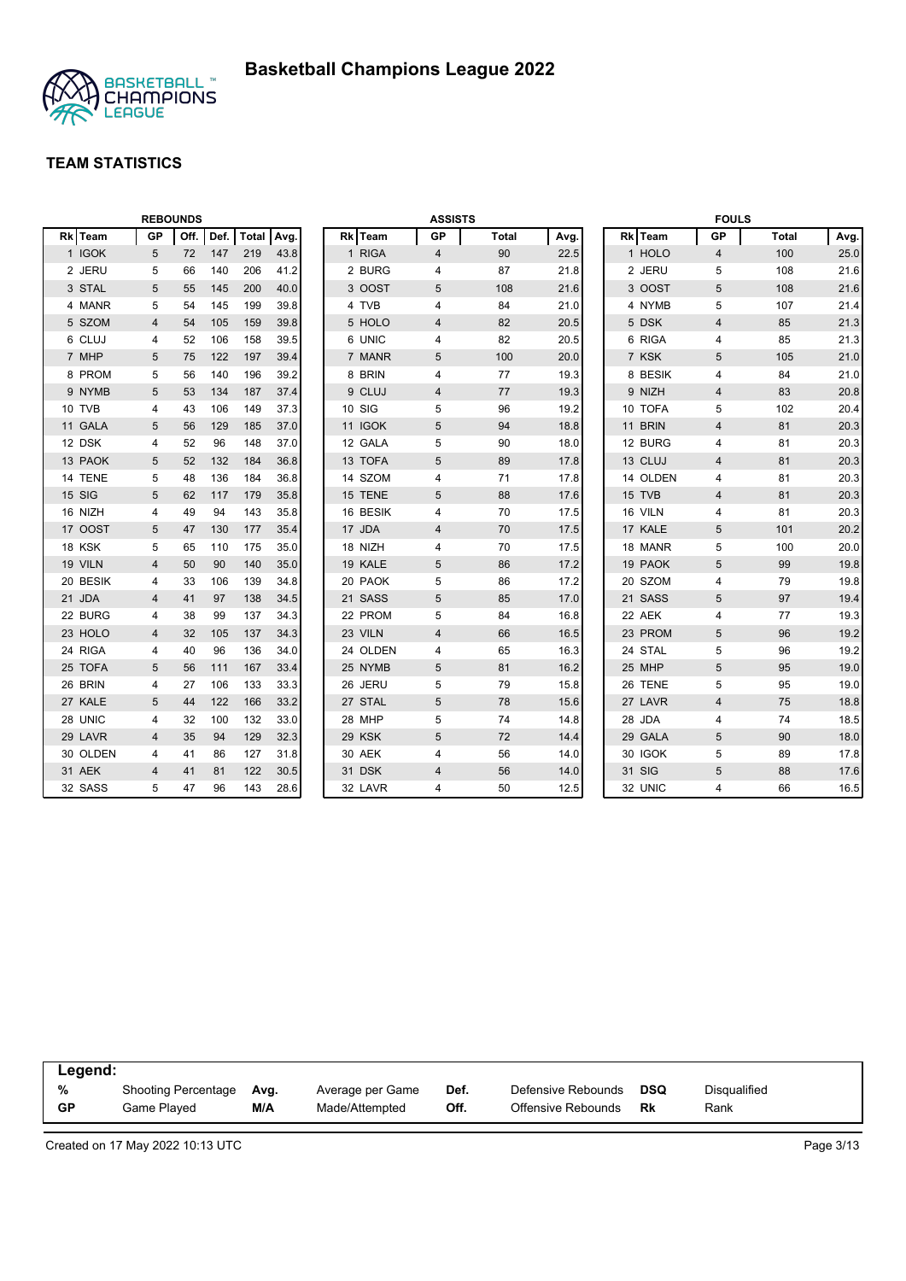

|          |           | <b>REBOUNDS</b> |      |              |      |          | <b>ASSISTS</b> |              |      |         |          | <b>FOULS</b>   |              |      |
|----------|-----------|-----------------|------|--------------|------|----------|----------------|--------------|------|---------|----------|----------------|--------------|------|
| Rk Team  | <b>GP</b> | Off.            | Def. | <b>Total</b> | Avg. | Rk Team  | <b>GP</b>      | <b>Total</b> | Avg. | Rk Team |          | <b>GP</b>      | <b>Total</b> | Avg. |
| 1 IGOK   | 5         | 72              | 147  | 219          | 43.8 | 1 RIGA   | 4              | 90           | 22.5 | 1 HOLO  |          | $\overline{4}$ | 100          | 25.0 |
| 2 JERU   | 5         | 66              | 140  | 206          | 41.2 | 2 BURG   | 4              | 87           | 21.8 | 2 JERU  |          | 5              | 108          | 21.6 |
| 3 STAL   | 5         | 55              | 145  | 200          | 40.0 | 3 OOST   | 5              | 108          | 21.6 | 3 OOST  |          | 5              | 108          | 21.6 |
| 4 MANR   | 5         | 54              | 145  | 199          | 39.8 | 4 TVB    | 4              | 84           | 21.0 | 4 NYMB  |          | 5              | 107          | 21.4 |
| 5 SZOM   | 4         | 54              | 105  | 159          | 39.8 | 5 HOLO   | 4              | 82           | 20.5 | 5 DSK   |          | 4              | 85           | 21.3 |
| 6 CLUJ   | 4         | 52              | 106  | 158          | 39.5 | 6 UNIC   | 4              | 82           | 20.5 | 6 RIGA  |          | 4              | 85           | 21.3 |
| 7 MHP    | 5         | 75              | 122  | 197          | 39.4 | 7 MANR   | 5              | 100          | 20.0 | 7 KSK   |          | 5              | 105          | 21.0 |
| 8 PROM   | 5         | 56              | 140  | 196          | 39.2 | 8 BRIN   | 4              | 77           | 19.3 |         | 8 BESIK  | 4              | 84           | 21.0 |
| 9 NYMB   | 5         | 53              | 134  | 187          | 37.4 | 9 CLUJ   | 4              | 77           | 19.3 | 9 NIZH  |          | $\overline{4}$ | 83           | 20.8 |
| 10 TVB   | 4         | 43              | 106  | 149          | 37.3 | 10 SIG   | 5              | 96           | 19.2 | 10 TOFA |          | 5              | 102          | 20.4 |
| 11 GALA  | 5         | 56              | 129  | 185          | 37.0 | 11 IGOK  | 5              | 94           | 18.8 | 11 BRIN |          | $\overline{4}$ | 81           | 20.3 |
| 12 DSK   | 4         | 52              | 96   | 148          | 37.0 | 12 GALA  | 5              | 90           | 18.0 | 12 BURG |          | 4              | 81           | 20.3 |
| 13 PAOK  | 5         | 52              | 132  | 184          | 36.8 | 13 TOFA  | 5              | 89           | 17.8 | 13 CLUJ |          | $\overline{4}$ | 81           | 20.3 |
| 14 TENE  | 5         | 48              | 136  | 184          | 36.8 | 14 SZOM  | 4              | 71           | 17.8 |         | 14 OLDEN | 4              | 81           | 20.3 |
| 15 SIG   | 5         | 62              | 117  | 179          | 35.8 | 15 TENE  | 5              | 88           | 17.6 | 15 TVB  |          | 4              | 81           | 20.3 |
| 16 NIZH  | 4         | 49              | 94   | 143          | 35.8 | 16 BESIK | 4              | 70           | 17.5 | 16 VILN |          | 4              | 81           | 20.3 |
| 17 OOST  | 5         | 47              | 130  | 177          | 35.4 | 17 JDA   | 4              | 70           | 17.5 | 17 KALE |          | 5              | 101          | 20.2 |
| 18 KSK   | 5         | 65              | 110  | 175          | 35.0 | 18 NIZH  | 4              | 70           | 17.5 | 18 MANR |          | 5              | 100          | 20.0 |
| 19 VILN  | 4         | 50              | 90   | 140          | 35.0 | 19 KALE  | 5              | 86           | 17.2 | 19 PAOK |          | 5              | 99           | 19.8 |
| 20 BESIK | 4         | 33              | 106  | 139          | 34.8 | 20 PAOK  | 5              | 86           | 17.2 | 20 SZOM |          | 4              | 79           | 19.8 |
| 21 JDA   | 4         | 41              | 97   | 138          | 34.5 | 21 SASS  | 5              | 85           | 17.0 | 21 SASS |          | 5              | 97           | 19.4 |
| 22 BURG  | 4         | 38              | 99   | 137          | 34.3 | 22 PROM  | 5              | 84           | 16.8 | 22 AEK  |          | 4              | 77           | 19.3 |
| 23 HOLO  | 4         | 32              | 105  | 137          | 34.3 | 23 VILN  | 4              | 66           | 16.5 | 23 PROM |          | 5              | 96           | 19.2 |
| 24 RIGA  | 4         | 40              | 96   | 136          | 34.0 | 24 OLDEN | 4              | 65           | 16.3 | 24 STAL |          | 5              | 96           | 19.2 |
| 25 TOFA  | 5         | 56              | 111  | 167          | 33.4 | 25 NYMB  | 5              | 81           | 16.2 | 25 MHP  |          | 5              | 95           | 19.0 |
| 26 BRIN  | 4         | 27              | 106  | 133          | 33.3 | 26 JERU  | 5              | 79           | 15.8 | 26 TENE |          | 5              | 95           | 19.0 |
| 27 KALE  | 5         | 44              | 122  | 166          | 33.2 | 27 STAL  | 5              | 78           | 15.6 | 27 LAVR |          | $\overline{4}$ | 75           | 18.8 |
| 28 UNIC  | 4         | 32              | 100  | 132          | 33.0 | 28 MHP   | 5              | 74           | 14.8 | 28 JDA  |          | 4              | 74           | 18.5 |
| 29 LAVR  | 4         | 35              | 94   | 129          | 32.3 | 29 KSK   | 5              | 72           | 14.4 | 29 GALA |          | 5              | 90           | 18.0 |
| 30 OLDEN | 4         | 41              | 86   | 127          | 31.8 | 30 AEK   | 4              | 56           | 14.0 | 30 IGOK |          | 5              | 89           | 17.8 |
| 31 AEK   | 4         | 41              | 81   | 122          | 30.5 | 31 DSK   | 4              | 56           | 14.0 | 31 SIG  |          | 5              | 88           | 17.6 |
| 32 SASS  | 5         | 47              | 96   | 143          | 28.6 | 32 LAVR  | 4              | 50           | 12.5 | 32 UNIC |          | 4              | 66           | 16.5 |

| Legend:   |                            |      |                  |      |                    |     |              |  |
|-----------|----------------------------|------|------------------|------|--------------------|-----|--------------|--|
| %         | <b>Shooting Percentage</b> | Avg. | Average per Game | Def. | Defensive Rebounds | DSQ | Disqualified |  |
| <b>GP</b> | Game Played                | M/A  | Made/Attempted   | Off. | Offensive Rebounds | Rk  | Rank         |  |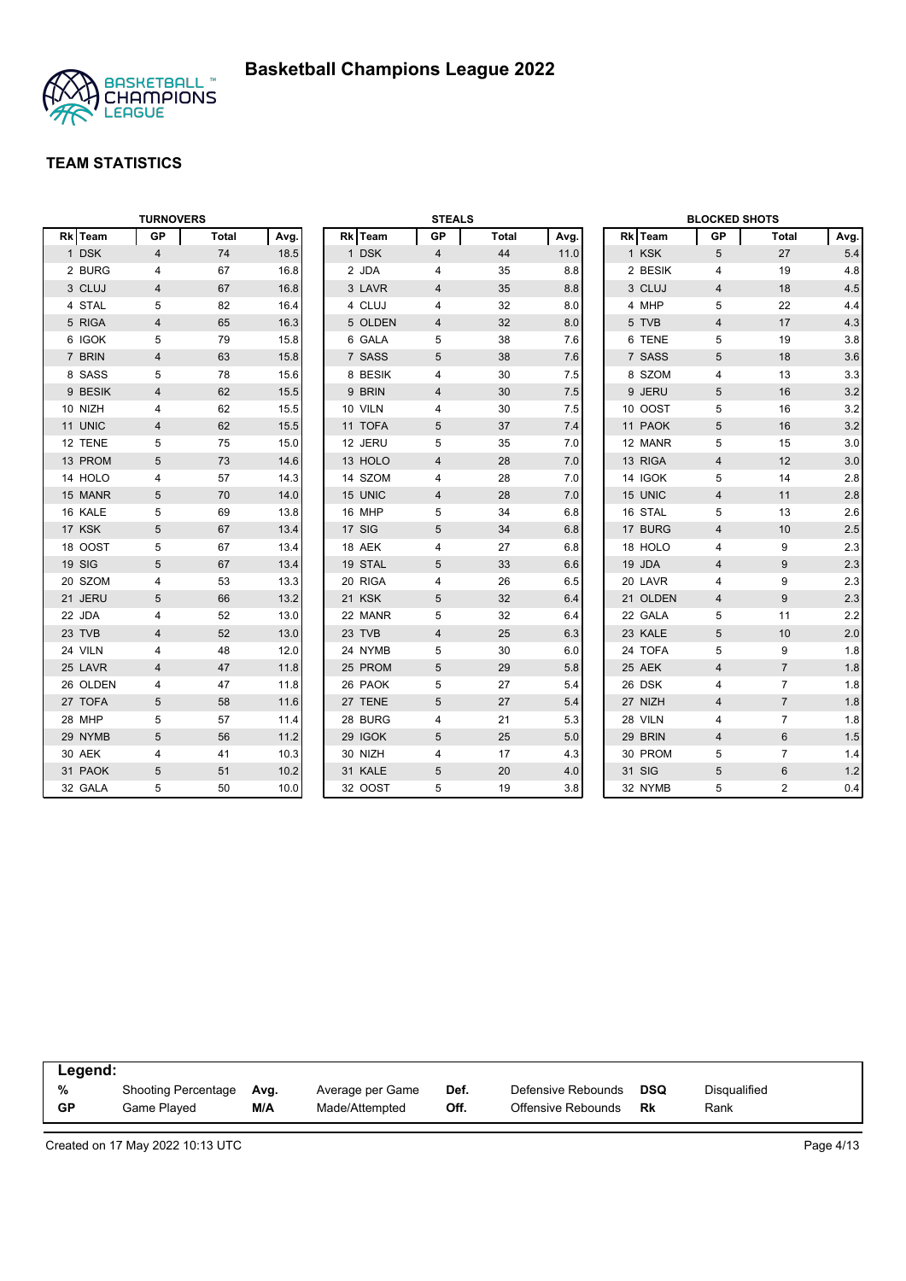

|          | <b>TURNOVERS</b> |              |      |         | <b>STEALS</b>  |              |      |          | <b>BLOCKED SHOTS</b> |                |      |
|----------|------------------|--------------|------|---------|----------------|--------------|------|----------|----------------------|----------------|------|
| Rk Team  | <b>GP</b>        | <b>Total</b> | Avg. | Rk Team | GP             | <b>Total</b> | Avg. | Rk Team  | GP                   | Total          | Avg. |
| 1 DSK    | $\overline{4}$   | 74           | 18.5 | 1 DSK   | $\overline{4}$ | 44           | 11.0 | 1 KSK    | 5                    | 27             | 5.4  |
| 2 BURG   | 4                | 67           | 16.8 | 2 JDA   | 4              | 35           | 8.8  | 2 BESIK  | 4                    | 19             | 4.8  |
| 3 CLUJ   | $\overline{4}$   | 67           | 16.8 | 3 LAVR  | $\overline{4}$ | 35           | 8.8  | 3 CLUJ   | $\overline{4}$       | 18             | 4.5  |
| 4 STAL   | 5                | 82           | 16.4 | 4 CLUJ  | 4              | 32           | 8.0  | 4 MHP    | 5                    | 22             | 4.4  |
| 5 RIGA   | 4                | 65           | 16.3 | 5 OLDEN | 4              | 32           | 8.0  | 5 TVB    | 4                    | 17             | 4.3  |
| 6 IGOK   | 5                | 79           | 15.8 | 6 GALA  | 5              | 38           | 7.6  | 6 TENE   | 5                    | 19             | 3.8  |
| 7 BRIN   | 4                | 63           | 15.8 | 7 SASS  | 5              | 38           | 7.6  | 7 SASS   | 5                    | 18             | 3.6  |
| 8 SASS   | 5                | 78           | 15.6 | 8 BESIK | 4              | 30           | 7.5  | 8 SZOM   | $\overline{4}$       | 13             | 3.3  |
| 9 BESIK  | 4                | 62           | 15.5 | 9 BRIN  | 4              | 30           | 7.5  | 9 JERU   | 5                    | 16             | 3.2  |
| 10 NIZH  | 4                | 62           | 15.5 | 10 VILN | 4              | 30           | 7.5  | 10 OOST  | 5                    | 16             | 3.2  |
| 11 UNIC  | 4                | 62           | 15.5 | 11 TOFA | 5              | 37           | 7.4  | 11 PAOK  | 5                    | 16             | 3.2  |
| 12 TENE  | 5                | 75           | 15.0 | 12 JERU | 5              | 35           | 7.0  | 12 MANR  | 5                    | 15             | 3.0  |
| 13 PROM  | 5                | 73           | 14.6 | 13 HOLO | $\overline{4}$ | 28           | 7.0  | 13 RIGA  | $\overline{4}$       | 12             | 3.0  |
| 14 HOLO  | 4                | 57           | 14.3 | 14 SZOM | 4              | 28           | 7.0  | 14 IGOK  | 5                    | 14             | 2.8  |
| 15 MANR  | 5                | 70           | 14.0 | 15 UNIC | 4              | 28           | 7.0  | 15 UNIC  | $\overline{4}$       | 11             | 2.8  |
| 16 KALE  | 5                | 69           | 13.8 | 16 MHP  | 5              | 34           | 6.8  | 16 STAL  | 5                    | 13             | 2.6  |
| 17 KSK   | 5                | 67           | 13.4 | 17 SIG  | 5              | 34           | 6.8  | 17 BURG  | $\overline{4}$       | 10             | 2.5  |
| 18 OOST  | 5                | 67           | 13.4 | 18 AEK  | 4              | 27           | 6.8  | 18 HOLO  | 4                    | 9              | 2.3  |
| 19 SIG   | 5                | 67           | 13.4 | 19 STAL | 5              | 33           | 6.6  | 19 JDA   | $\overline{4}$       | 9              | 2.3  |
| 20 SZOM  | 4                | 53           | 13.3 | 20 RIGA | 4              | 26           | 6.5  | 20 LAVR  | 4                    | 9              | 2.3  |
| 21 JERU  | 5                | 66           | 13.2 | 21 KSK  | 5              | 32           | 6.4  | 21 OLDEN | $\overline{4}$       | 9              | 2.3  |
| 22 JDA   | 4                | 52           | 13.0 | 22 MANR | 5              | 32           | 6.4  | 22 GALA  | 5                    | 11             | 2.2  |
| 23 TVB   | $\overline{4}$   | 52           | 13.0 | 23 TVB  | $\overline{4}$ | 25           | 6.3  | 23 KALE  | 5                    | 10             | 2.0  |
| 24 VILN  | 4                | 48           | 12.0 | 24 NYMB | 5              | 30           | 6.0  | 24 TOFA  | 5                    | 9              | 1.8  |
| 25 LAVR  | 4                | 47           | 11.8 | 25 PROM | 5              | 29           | 5.8  | 25 AEK   | $\overline{4}$       | $\overline{7}$ | 1.8  |
| 26 OLDEN | 4                | 47           | 11.8 | 26 PAOK | 5              | 27           | 5.4  | 26 DSK   | $\overline{4}$       | $\overline{7}$ | 1.8  |
| 27 TOFA  | 5                | 58           | 11.6 | 27 TENE | 5              | 27           | 5.4  | 27 NIZH  | $\overline{4}$       | $\overline{7}$ | 1.8  |
| 28 MHP   | 5                | 57           | 11.4 | 28 BURG | 4              | 21           | 5.3  | 28 VILN  | $\overline{4}$       | $\overline{7}$ | 1.8  |
| 29 NYMB  | 5                | 56           | 11.2 | 29 IGOK | 5              | 25           | 5.0  | 29 BRIN  | $\overline{4}$       | 6              | 1.5  |
| 30 AEK   | 4                | 41           | 10.3 | 30 NIZH | 4              | 17           | 4.3  | 30 PROM  | 5                    | $\overline{7}$ | 1.4  |
| 31 PAOK  | 5                | 51           | 10.2 | 31 KALE | 5              | 20           | 4.0  | 31 SIG   | $\overline{5}$       | $6\phantom{1}$ | 1.2  |
| 32 GALA  | 5                | 50           | 10.0 | 32 OOST | 5              | 19           | 3.8  | 32 NYMB  | 5                    | $\overline{2}$ | 0.4  |

| Legend:   |                     |      |                  |      |                    |     |                     |  |
|-----------|---------------------|------|------------------|------|--------------------|-----|---------------------|--|
| %         | Shooting Percentage | Avg. | Average per Game | Def. | Defensive Rebounds | DSQ | <b>Disqualified</b> |  |
| <b>GP</b> | Game Played         | M/A  | Made/Attempted   | Off. | Offensive Rebounds | Rk  | Rank                |  |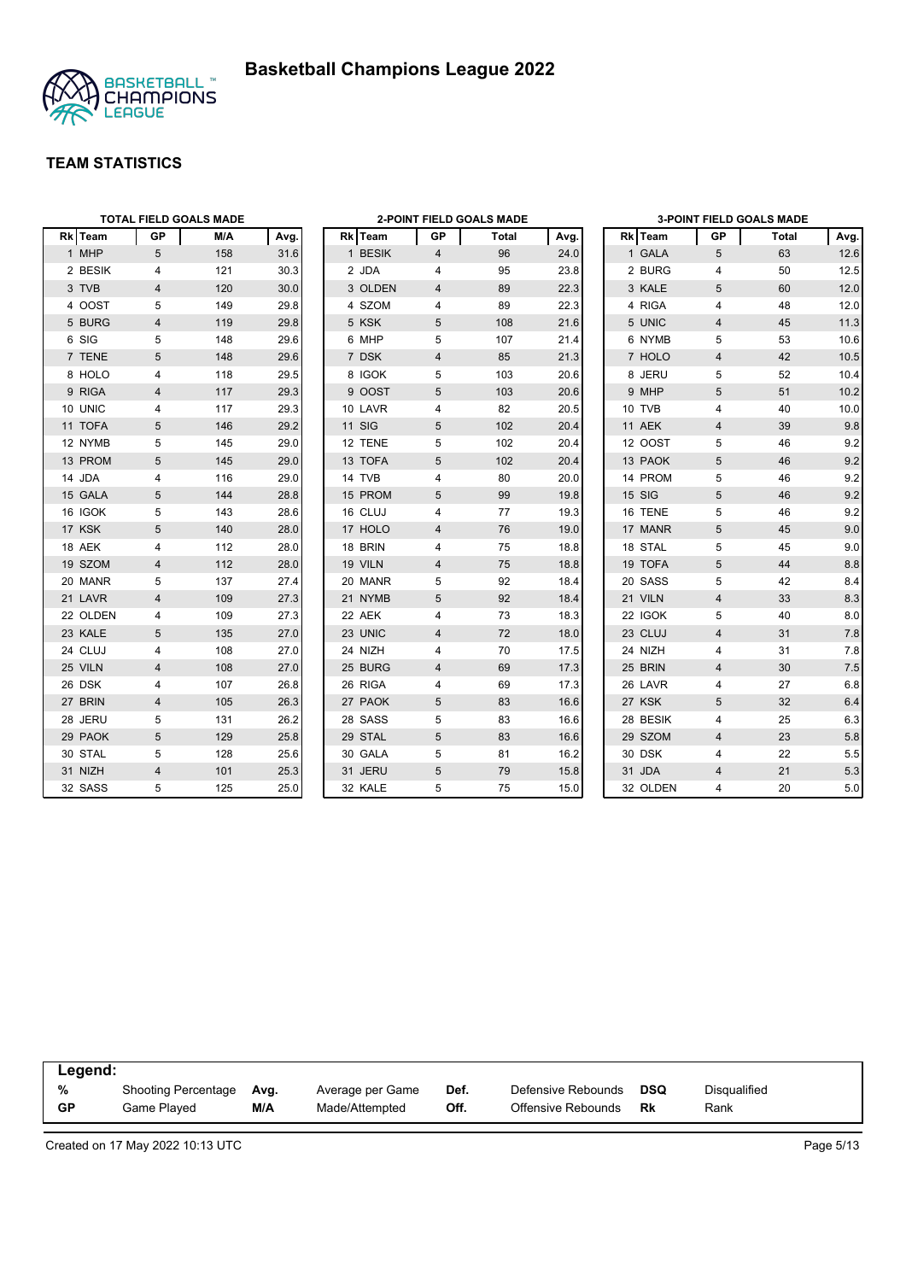



|          |                 | <b>TOTAL FIELD GOALS MADE</b> |      |               |                | <b>2-POINT FIELD GOALS MADE</b> |      |          |                         | <b>3-POINT FIELD GOALS MADE</b> |         |
|----------|-----------------|-------------------------------|------|---------------|----------------|---------------------------------|------|----------|-------------------------|---------------------------------|---------|
| Rk Team  | <b>GP</b>       | M/A                           | Avg. | Rk Team       | <b>GP</b>      | Total                           | Avg. | Rk Team  | <b>GP</b>               | Total                           | Avg.    |
| 1 MHP    | $5\overline{)}$ | 158                           | 31.6 | 1 BESIK       | 4              | 96                              | 24.0 | 1 GALA   | 5                       | 63                              | 12.6    |
| 2 BESIK  | 4               | 121                           | 30.3 | 2 JDA         | 4              | 95                              | 23.8 | 2 BURG   | $\overline{4}$          | 50                              | 12.5    |
| 3 TVB    | 4               | 120                           | 30.0 | 3 OLDEN       | 4              | 89                              | 22.3 | 3 KALE   | 5                       | 60                              | 12.0    |
| 4 OOST   | 5               | 149                           | 29.8 | 4 SZOM        | 4              | 89                              | 22.3 | 4 RIGA   | 4                       | 48                              | 12.0    |
| 5 BURG   | $\overline{4}$  | 119                           | 29.8 | 5 KSK         | 5              | 108                             | 21.6 | 5 UNIC   | $\overline{4}$          | 45                              | 11.3    |
| 6 SIG    | 5               | 148                           | 29.6 | 6 MHP         | 5              | 107                             | 21.4 | 6 NYMB   | 5                       | 53                              | 10.6    |
| 7 TENE   | 5               | 148                           | 29.6 | 7 DSK         | $\overline{4}$ | 85                              | 21.3 | 7 HOLO   | $\overline{4}$          | 42                              | 10.5    |
| 8 HOLO   | 4               | 118                           | 29.5 | 8 IGOK        | 5              | 103                             | 20.6 | 8 JERU   | 5                       | 52                              | 10.4    |
| 9 RIGA   | 4               | 117                           | 29.3 | 9 OOST        | 5              | 103                             | 20.6 | 9 MHP    | 5                       | 51                              | 10.2    |
| 10 UNIC  | 4               | 117                           | 29.3 | 10 LAVR       | $\overline{4}$ | 82                              | 20.5 | 10 TVB   | $\overline{4}$          | 40                              | 10.0    |
| 11 TOFA  | 5               | 146                           | 29.2 | <b>11 SIG</b> | 5              | 102                             | 20.4 | 11 AEK   | $\overline{4}$          | 39                              | $9.8\,$ |
| 12 NYMB  | 5               | 145                           | 29.0 | 12 TENE       | 5              | 102                             | 20.4 | 12 OOST  | 5                       | 46                              | 9.2     |
| 13 PROM  | $\sqrt{5}$      | 145                           | 29.0 | 13 TOFA       | $\sqrt{5}$     | 102                             | 20.4 | 13 PAOK  | 5                       | 46                              | 9.2     |
| 14 JDA   | 4               | 116                           | 29.0 | 14 TVB        | 4              | 80                              | 20.0 | 14 PROM  | 5                       | 46                              | 9.2     |
| 15 GALA  | 5               | 144                           | 28.8 | 15 PROM       | 5              | 99                              | 19.8 | 15 SIG   | $5\phantom{.0}$         | 46                              | 9.2     |
| 16 IGOK  | 5               | 143                           | 28.6 | 16 CLUJ       | 4              | 77                              | 19.3 | 16 TENE  | 5                       | 46                              | 9.2     |
| 17 KSK   | 5               | 140                           | 28.0 | 17 HOLO       | $\overline{4}$ | 76                              | 19.0 | 17 MANR  | $5\phantom{.0}$         | 45                              | 9.0     |
| 18 AEK   | 4               | 112                           | 28.0 | 18 BRIN       | 4              | 75                              | 18.8 | 18 STAL  | 5                       | 45                              | 9.0     |
| 19 SZOM  | 4               | 112                           | 28.0 | 19 VILN       | 4              | 75                              | 18.8 | 19 TOFA  | 5                       | 44                              | 8.8     |
| 20 MANR  | 5               | 137                           | 27.4 | 20 MANR       | 5              | 92                              | 18.4 | 20 SASS  | 5                       | 42                              | 8.4     |
| 21 LAVR  | 4               | 109                           | 27.3 | 21 NYMB       | 5              | 92                              | 18.4 | 21 VILN  | $\overline{4}$          | 33                              | 8.3     |
| 22 OLDEN | 4               | 109                           | 27.3 | 22 AEK        | 4              | 73                              | 18.3 | 22 IGOK  | 5                       | 40                              | 8.0     |
| 23 KALE  | 5               | 135                           | 27.0 | 23 UNIC       | 4              | 72                              | 18.0 | 23 CLUJ  | $\overline{\mathbf{4}}$ | 31                              | 7.8     |
| 24 CLUJ  | 4               | 108                           | 27.0 | 24 NIZH       | 4              | 70                              | 17.5 | 24 NIZH  | 4                       | 31                              | 7.8     |
| 25 VILN  | 4               | 108                           | 27.0 | 25 BURG       | $\overline{4}$ | 69                              | 17.3 | 25 BRIN  | $\overline{4}$          | 30                              | $7.5$   |
| 26 DSK   | 4               | 107                           | 26.8 | 26 RIGA       | 4              | 69                              | 17.3 | 26 LAVR  | 4                       | 27                              | 6.8     |
| 27 BRIN  | $\overline{4}$  | 105                           | 26.3 | 27 PAOK       | 5              | 83                              | 16.6 | 27 KSK   | 5                       | 32                              | 6.4     |
| 28 JERU  | 5               | 131                           | 26.2 | 28 SASS       | 5              | 83                              | 16.6 | 28 BESIK | 4                       | 25                              | 6.3     |
| 29 PAOK  | 5               | 129                           | 25.8 | 29 STAL       | 5              | 83                              | 16.6 | 29 SZOM  | $\overline{4}$          | 23                              | 5.8     |
| 30 STAL  | 5               | 128                           | 25.6 | 30 GALA       | 5              | 81                              | 16.2 | 30 DSK   | 4                       | 22                              | 5.5     |
| 31 NIZH  | $\overline{4}$  | 101                           | 25.3 | 31 JERU       | 5              | 79                              | 15.8 | 31 JDA   | $\overline{4}$          | 21                              | 5.3     |
| 32 SASS  | 5               | 125                           | 25.0 | 32 KALE       | 5              | 75                              | 15.0 | 32 OLDEN | $\overline{4}$          | 20                              | 5.0     |

| Legend:   |                            |      |                  |      |                    |            |                     |
|-----------|----------------------------|------|------------------|------|--------------------|------------|---------------------|
| %         | <b>Shooting Percentage</b> | Avg. | Average per Game | Def. | Defensive Rebounds | <b>DSQ</b> | <b>Disqualified</b> |
| <b>GP</b> | Game Played                | M/A  | Made/Attempted   | Off. | Offensive Rebounds | Rk         | Rank                |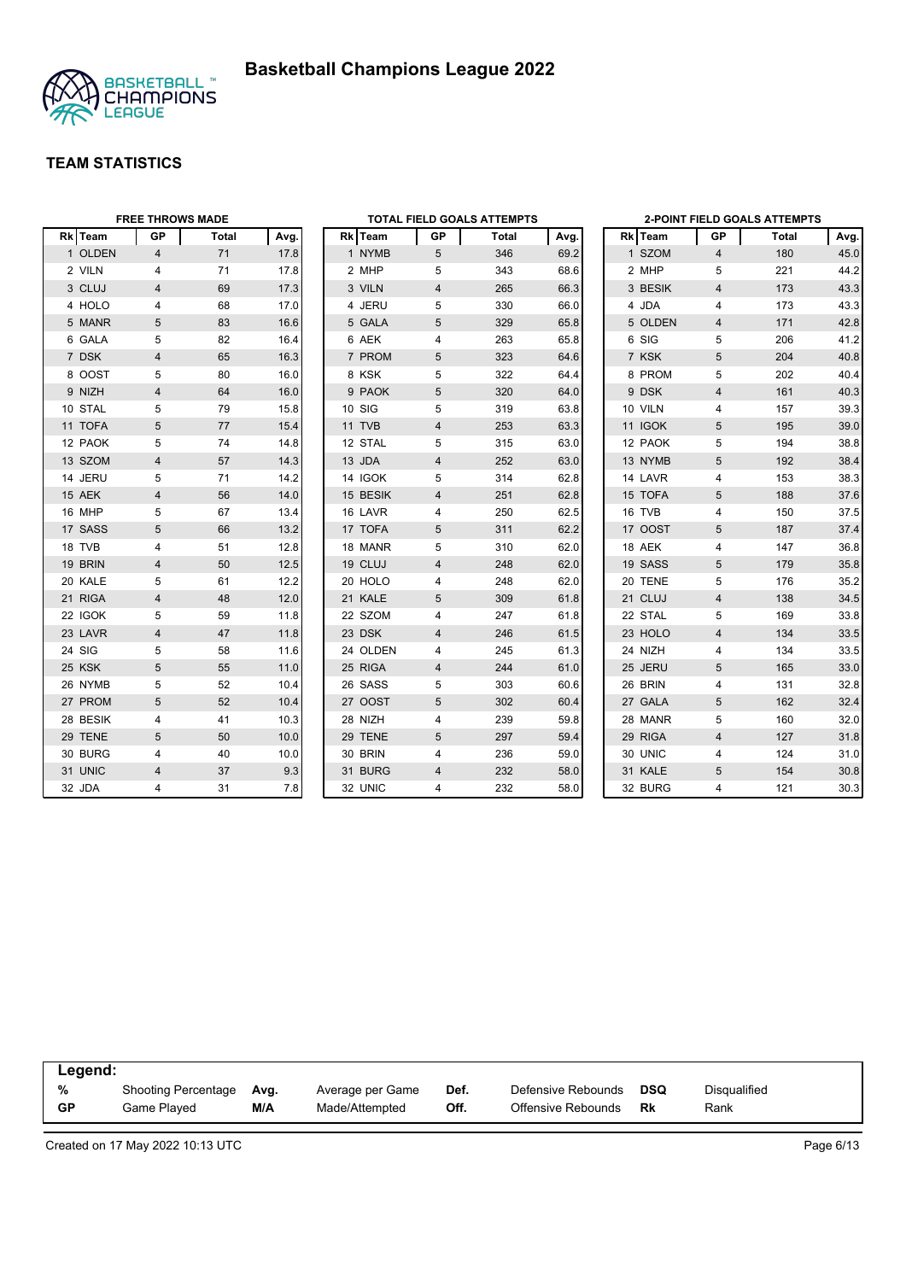



|          | <b>FREE THROWS MADE</b> |       |      |          |    | TOTAL FIELD GOALS ATTEMPTS |      |         |                         | <b>2-POINT FIELD GOALS ATTEMPTS</b> |      |
|----------|-------------------------|-------|------|----------|----|----------------------------|------|---------|-------------------------|-------------------------------------|------|
| Rk Team  | GP                      | Total | Avg. | Rk Team  | GP | Total                      | Avg. | Rk Team | GP                      | Total                               | Avg. |
| 1 OLDEN  | $\overline{4}$          | 71    | 17.8 | 1 NYMB   | 5  | 346                        | 69.2 | 1 SZOM  | $\overline{4}$          | 180                                 | 45.0 |
| 2 VILN   | 4                       | 71    | 17.8 | 2 MHP    | 5  | 343                        | 68.6 | 2 MHP   | 5                       | 221                                 | 44.2 |
| 3 CLUJ   | 4                       | 69    | 17.3 | 3 VILN   | 4  | 265                        | 66.3 | 3 BESIK | $\overline{4}$          | 173                                 | 43.3 |
| 4 HOLO   | 4                       | 68    | 17.0 | 4 JERU   | 5  | 330                        | 66.0 | 4 JDA   | 4                       | 173                                 | 43.3 |
| 5 MANR   | 5                       | 83    | 16.6 | 5 GALA   | 5  | 329                        | 65.8 | 5 OLDEN | 4                       | 171                                 | 42.8 |
| 6 GALA   | 5                       | 82    | 16.4 | 6 AEK    | 4  | 263                        | 65.8 | 6 SIG   | 5                       | 206                                 | 41.2 |
| 7 DSK    | $\overline{\mathbf{4}}$ | 65    | 16.3 | 7 PROM   | 5  | 323                        | 64.6 | 7 KSK   | 5                       | 204                                 | 40.8 |
| 8 OOST   | 5                       | 80    | 16.0 | 8 KSK    | 5  | 322                        | 64.4 | 8 PROM  | 5                       | 202                                 | 40.4 |
| 9 NIZH   | $\overline{4}$          | 64    | 16.0 | 9 PAOK   | 5  | 320                        | 64.0 | 9 DSK   | $\overline{\mathbf{4}}$ | 161                                 | 40.3 |
| 10 STAL  | 5                       | 79    | 15.8 | 10 SIG   | 5  | 319                        | 63.8 | 10 VILN | 4                       | 157                                 | 39.3 |
| 11 TOFA  | 5                       | 77    | 15.4 | 11 TVB   | 4  | 253                        | 63.3 | 11 IGOK | 5                       | 195                                 | 39.0 |
| 12 PAOK  | 5                       | 74    | 14.8 | 12 STAL  | 5  | 315                        | 63.0 | 12 PAOK | 5                       | 194                                 | 38.8 |
| 13 SZOM  | $\overline{4}$          | 57    | 14.3 | 13 JDA   | 4  | 252                        | 63.0 | 13 NYMB | 5                       | 192                                 | 38.4 |
| 14 JERU  | 5                       | 71    | 14.2 | 14 IGOK  | 5  | 314                        | 62.8 | 14 LAVR | 4                       | 153                                 | 38.3 |
| 15 AEK   | 4                       | 56    | 14.0 | 15 BESIK | 4  | 251                        | 62.8 | 15 TOFA | 5                       | 188                                 | 37.6 |
| 16 MHP   | 5                       | 67    | 13.4 | 16 LAVR  | 4  | 250                        | 62.5 | 16 TVB  | 4                       | 150                                 | 37.5 |
| 17 SASS  | 5                       | 66    | 13.2 | 17 TOFA  | 5  | 311                        | 62.2 | 17 OOST | 5                       | 187                                 | 37.4 |
| 18 TVB   | 4                       | 51    | 12.8 | 18 MANR  | 5  | 310                        | 62.0 | 18 AEK  | 4                       | 147                                 | 36.8 |
| 19 BRIN  | 4                       | 50    | 12.5 | 19 CLUJ  | 4  | 248                        | 62.0 | 19 SASS | 5                       | 179                                 | 35.8 |
| 20 KALE  | 5                       | 61    | 12.2 | 20 HOLO  | 4  | 248                        | 62.0 | 20 TENE | 5                       | 176                                 | 35.2 |
| 21 RIGA  | 4                       | 48    | 12.0 | 21 KALE  | 5  | 309                        | 61.8 | 21 CLUJ | $\overline{4}$          | 138                                 | 34.5 |
| 22 IGOK  | 5                       | 59    | 11.8 | 22 SZOM  | 4  | 247                        | 61.8 | 22 STAL | 5                       | 169                                 | 33.8 |
| 23 LAVR  | 4                       | 47    | 11.8 | 23 DSK   | 4  | 246                        | 61.5 | 23 HOLO | $\overline{4}$          | 134                                 | 33.5 |
| 24 SIG   | 5                       | 58    | 11.6 | 24 OLDEN | 4  | 245                        | 61.3 | 24 NIZH | 4                       | 134                                 | 33.5 |
| 25 KSK   | 5                       | 55    | 11.0 | 25 RIGA  | 4  | 244                        | 61.0 | 25 JERU | 5                       | 165                                 | 33.0 |
| 26 NYMB  | 5                       | 52    | 10.4 | 26 SASS  | 5  | 303                        | 60.6 | 26 BRIN | 4                       | 131                                 | 32.8 |
| 27 PROM  | 5                       | 52    | 10.4 | 27 OOST  | 5  | 302                        | 60.4 | 27 GALA | 5                       | 162                                 | 32.4 |
| 28 BESIK | 4                       | 41    | 10.3 | 28 NIZH  | 4  | 239                        | 59.8 | 28 MANR | 5                       | 160                                 | 32.0 |
| 29 TENE  | 5                       | 50    | 10.0 | 29 TENE  | 5  | 297                        | 59.4 | 29 RIGA | $\overline{4}$          | 127                                 | 31.8 |
| 30 BURG  | 4                       | 40    | 10.0 | 30 BRIN  | 4  | 236                        | 59.0 | 30 UNIC | 4                       | 124                                 | 31.0 |
| 31 UNIC  | 4                       | 37    | 9.3  | 31 BURG  | 4  | 232                        | 58.0 | 31 KALE | 5                       | 154                                 | 30.8 |
| 32 JDA   | 4                       | 31    | 7.8  | 32 UNIC  | 4  | 232                        | 58.0 | 32 BURG | $\overline{4}$          | 121                                 | 30.3 |

| Legend: |                     |      |                  |      |                    |     |                     |
|---------|---------------------|------|------------------|------|--------------------|-----|---------------------|
| %       | Shooting Percentage | Ava. | Average per Game | Def. | Defensive Rebounds | DSQ | <b>Disqualified</b> |
| GP      | Game Plaved         | M/A  | Made/Attempted   | Off. | Offensive Rebounds | Rk  | Rank                |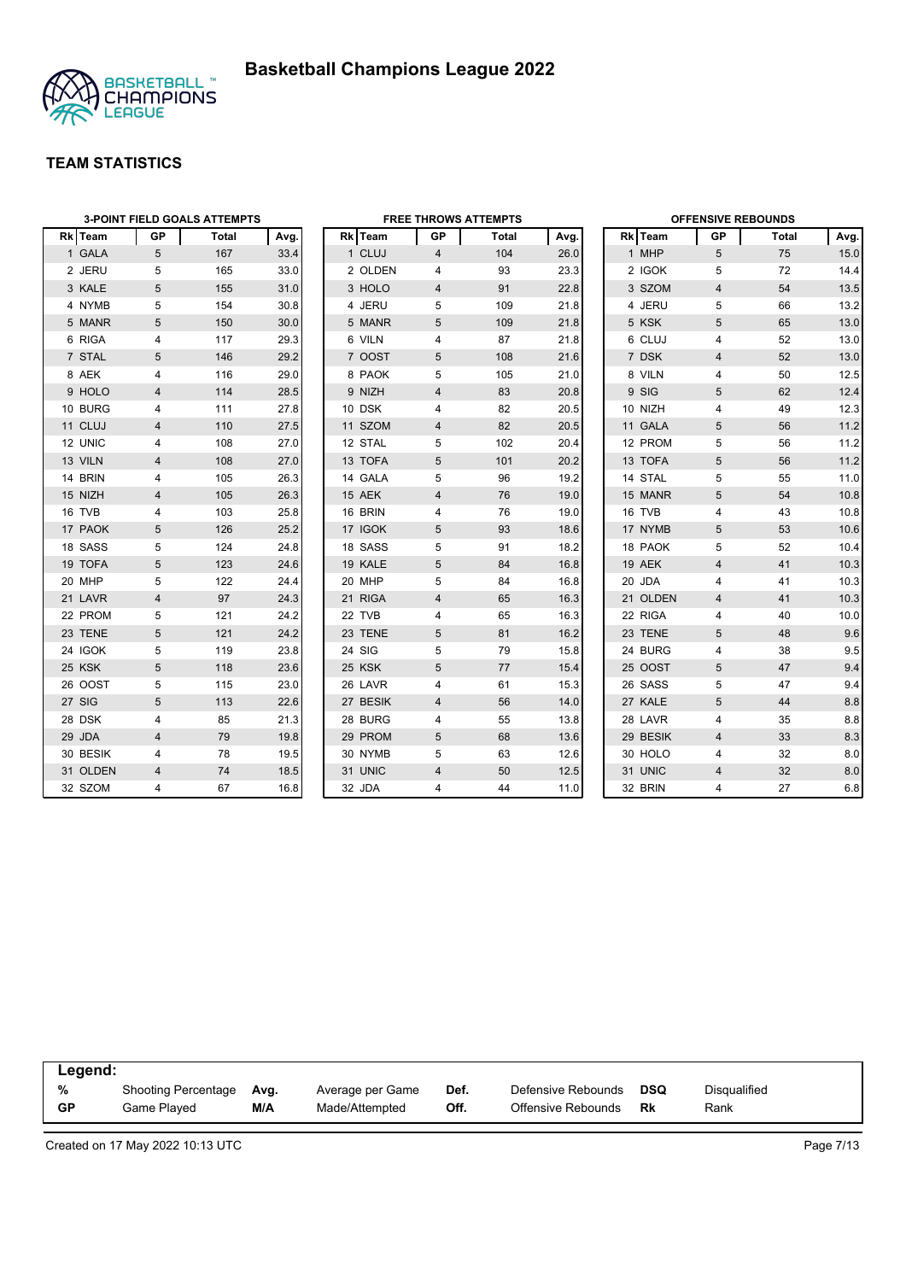

|                |                | <b>3-POINT FIELD GOALS ATTEMPTS</b> |      |          |                | <b>FREE THROWS ATTEMPTS</b> |      |          | <b>OFFENSIVE REBOUNDS</b> |       |      |
|----------------|----------------|-------------------------------------|------|----------|----------------|-----------------------------|------|----------|---------------------------|-------|------|
| <b>Rk</b> Team | GP             | Total                               | Avg. | Rk Team  | GP             | Total                       | Avg. | Rk Team  | GP                        | Total | Avg. |
| 1 GALA         | 5              | 167                                 | 33.4 | 1 CLUJ   | 4              | 104                         | 26.0 | 1 MHP    | 5                         | 75    | 15.0 |
| 2 JERU         | 5              | 165                                 | 33.0 | 2 OLDEN  | 4              | 93                          | 23.3 | 2 IGOK   | 5                         | 72    | 14.4 |
| 3 KALE         | 5              | 155                                 | 31.0 | 3 HOLO   | $\overline{4}$ | 91                          | 22.8 | 3 SZOM   | $\overline{4}$            | 54    | 13.5 |
| 4 NYMB         | 5              | 154                                 | 30.8 | 4 JERU   | 5              | 109                         | 21.8 | 4 JERU   | 5                         | 66    | 13.2 |
| 5 MANR         | 5              | 150                                 | 30.0 | 5 MANR   | 5              | 109                         | 21.8 | 5 KSK    | 5                         | 65    | 13.0 |
| 6 RIGA         | 4              | 117                                 | 29.3 | 6 VILN   | 4              | 87                          | 21.8 | 6 CLUJ   | 4                         | 52    | 13.0 |
| 7 STAL         | 5              | 146                                 | 29.2 | 7 OOST   | 5              | 108                         | 21.6 | 7 DSK    | $\overline{4}$            | 52    | 13.0 |
| 8 AEK          | 4              | 116                                 | 29.0 | 8 PAOK   | 5              | 105                         | 21.0 | 8 VILN   | 4                         | 50    | 12.5 |
| 9 HOLO         | 4              | 114                                 | 28.5 | 9 NIZH   | 4              | 83                          | 20.8 | 9 SIG    | 5                         | 62    | 12.4 |
| 10 BURG        | 4              | 111                                 | 27.8 | 10 DSK   | 4              | 82                          | 20.5 | 10 NIZH  | 4                         | 49    | 12.3 |
| 11 CLUJ        | $\overline{4}$ | 110                                 | 27.5 | 11 SZOM  | $\overline{4}$ | 82                          | 20.5 | 11 GALA  | 5                         | 56    | 11.2 |
| 12 UNIC        | 4              | 108                                 | 27.0 | 12 STAL  | 5              | 102                         | 20.4 | 12 PROM  | 5                         | 56    | 11.2 |
| 13 VILN        | 4              | 108                                 | 27.0 | 13 TOFA  | 5              | 101                         | 20.2 | 13 TOFA  | 5                         | 56    | 11.2 |
| 14 BRIN        | 4              | 105                                 | 26.3 | 14 GALA  | 5              | 96                          | 19.2 | 14 STAL  | 5                         | 55    | 11.0 |
| 15 NIZH        | 4              | 105                                 | 26.3 | 15 AEK   | $\overline{4}$ | 76                          | 19.0 | 15 MANR  | 5                         | 54    | 10.8 |
| 16 TVB         | 4              | 103                                 | 25.8 | 16 BRIN  | 4              | 76                          | 19.0 | 16 TVB   | $\overline{4}$            | 43    | 10.8 |
| 17 PAOK        | 5              | 126                                 | 25.2 | 17 IGOK  | 5              | 93                          | 18.6 | 17 NYMB  | 5                         | 53    | 10.6 |
| 18 SASS        | 5              | 124                                 | 24.8 | 18 SASS  | 5              | 91                          | 18.2 | 18 PAOK  | 5                         | 52    | 10.4 |
| 19 TOFA        | 5              | 123                                 | 24.6 | 19 KALE  | 5              | 84                          | 16.8 | 19 AEK   | $\overline{4}$            | 41    | 10.3 |
| 20 MHP         | 5              | 122                                 | 24.4 | 20 MHP   | 5              | 84                          | 16.8 | 20 JDA   | 4                         | 41    | 10.3 |
| 21 LAVR        | 4              | 97                                  | 24.3 | 21 RIGA  | $\overline{4}$ | 65                          | 16.3 | 21 OLDEN | $\overline{4}$            | 41    | 10.3 |
| 22 PROM        | 5              | 121                                 | 24.2 | 22 TVB   | 4              | 65                          | 16.3 | 22 RIGA  | $\overline{4}$            | 40    | 10.0 |
| 23 TENE        | 5              | 121                                 | 24.2 | 23 TENE  | 5              | 81                          | 16.2 | 23 TENE  | 5                         | 48    | 9.6  |
| 24 IGOK        | 5              | 119                                 | 23.8 | 24 SIG   | 5              | 79                          | 15.8 | 24 BURG  | 4                         | 38    | 9.5  |
| 25 KSK         | 5              | 118                                 | 23.6 | 25 KSK   | 5              | 77                          | 15.4 | 25 OOST  | 5                         | 47    | 9.4  |
| 26 OOST        | 5              | 115                                 | 23.0 | 26 LAVR  | 4              | 61                          | 15.3 | 26 SASS  | 5                         | 47    | 9.4  |
| 27 SIG         | 5              | 113                                 | 22.6 | 27 BESIK | 4              | 56                          | 14.0 | 27 KALE  | 5                         | 44    | 8.8  |
| 28 DSK         | 4              | 85                                  | 21.3 | 28 BURG  | 4              | 55                          | 13.8 | 28 LAVR  | $\overline{4}$            | 35    | 8.8  |
| 29 JDA         | $\overline{4}$ | 79                                  | 19.8 | 29 PROM  | 5              | 68                          | 13.6 | 29 BESIK | $\overline{4}$            | 33    | 8.3  |
| 30 BESIK       | 4              | 78                                  | 19.5 | 30 NYMB  | 5              | 63                          | 12.6 | 30 HOLO  | 4                         | 32    | 8.0  |
| 31 OLDEN       | $\overline{4}$ | 74                                  | 18.5 | 31 UNIC  | $\overline{4}$ | 50                          | 12.5 | 31 UNIC  | $\overline{4}$            | 32    | 8.0  |
| 32 SZOM        | 4              | 67                                  | 16.8 | 32 JDA   | 4              | 44                          | 11.0 | 32 BRIN  | $\overline{\mathbf{A}}$   | 27    | 6.8  |

| Legend: |                     |      |                  |      |                    |            |              |
|---------|---------------------|------|------------------|------|--------------------|------------|--------------|
| %       | Shooting Percentage | Avg. | Average per Game | Def. | Defensive Rebounds | <b>DSQ</b> | Disgualified |
| GP      | Game Played         | M/A  | Made/Attempted   | Off. | Offensive Rebounds | Rk         | Rank         |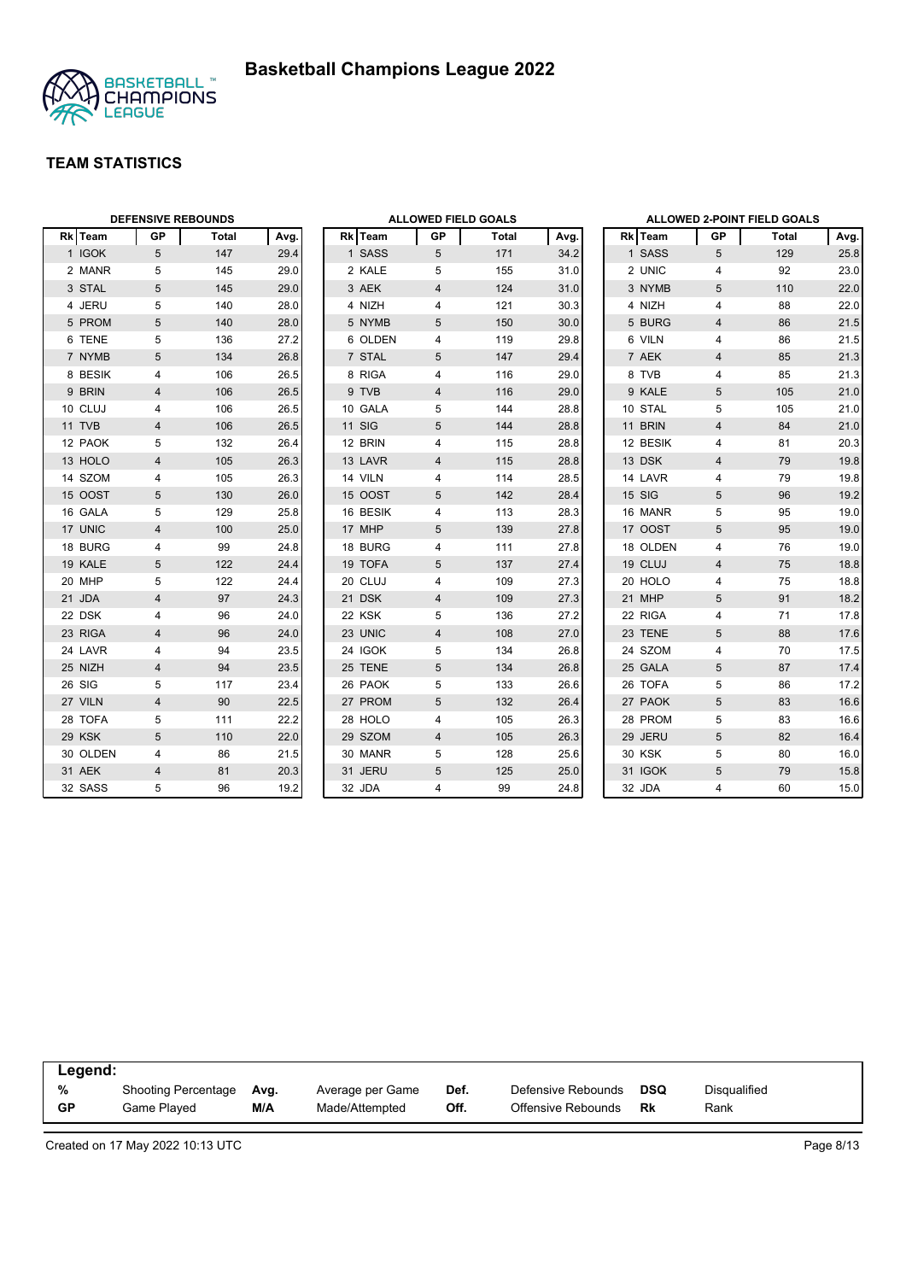



|          | <b>DEFENSIVE REBOUNDS</b> |       |      |               | <b>ALLOWED FIELD GOALS</b> |       |      |               |                 | ALLOWED 2-POINT FIELD GOALS |      |
|----------|---------------------------|-------|------|---------------|----------------------------|-------|------|---------------|-----------------|-----------------------------|------|
| Rk Team  | <b>GP</b>                 | Total | Avg. | Rk Team       | GP                         | Total | Avg. | Rk Team       | GP              | Total                       | Avg. |
| 1 IGOK   | $5\overline{)}$           | 147   | 29.4 | 1 SASS        | 5                          | 171   | 34.2 | 1 SASS        | 5               | 129                         | 25.8 |
| 2 MANR   | 5                         | 145   | 29.0 | 2 KALE        | 5                          | 155   | 31.0 | 2 UNIC        | $\overline{4}$  | 92                          | 23.0 |
| 3 STAL   | 5                         | 145   | 29.0 | 3 AEK         | $\overline{4}$             | 124   | 31.0 | 3 NYMB        | 5               | 110                         | 22.0 |
| 4 JERU   | 5                         | 140   | 28.0 | 4 NIZH        | 4                          | 121   | 30.3 | 4 NIZH        | 4               | 88                          | 22.0 |
| 5 PROM   | 5                         | 140   | 28.0 | 5 NYMB        | 5                          | 150   | 30.0 | 5 BURG        | $\overline{4}$  | 86                          | 21.5 |
| 6 TENE   | 5                         | 136   | 27.2 | 6 OLDEN       | 4                          | 119   | 29.8 | 6 VILN        | 4               | 86                          | 21.5 |
| 7 NYMB   | 5                         | 134   | 26.8 | 7 STAL        | 5                          | 147   | 29.4 | 7 AEK         | $\overline{4}$  | 85                          | 21.3 |
| 8 BESIK  | 4                         | 106   | 26.5 | 8 RIGA        | 4                          | 116   | 29.0 | 8 TVB         | 4               | 85                          | 21.3 |
| 9 BRIN   | 4                         | 106   | 26.5 | 9 TVB         | 4                          | 116   | 29.0 | 9 KALE        | 5               | 105                         | 21.0 |
| 10 CLUJ  | 4                         | 106   | 26.5 | 10 GALA       | 5                          | 144   | 28.8 | 10 STAL       | 5               | 105                         | 21.0 |
| 11 TVB   | 4                         | 106   | 26.5 | <b>11 SIG</b> | 5                          | 144   | 28.8 | 11 BRIN       | $\overline{4}$  | 84                          | 21.0 |
| 12 PAOK  | 5                         | 132   | 26.4 | 12 BRIN       | 4                          | 115   | 28.8 | 12 BESIK      | 4               | 81                          | 20.3 |
| 13 HOLO  | $\overline{4}$            | 105   | 26.3 | 13 LAVR       | 4                          | 115   | 28.8 | 13 DSK        | $\overline{4}$  | 79                          | 19.8 |
| 14 SZOM  | 4                         | 105   | 26.3 | 14 VILN       | 4                          | 114   | 28.5 | 14 LAVR       | 4               | 79                          | 19.8 |
| 15 OOST  | 5                         | 130   | 26.0 | 15 OOST       | 5                          | 142   | 28.4 | 15 SIG        | 5               | 96                          | 19.2 |
| 16 GALA  | 5                         | 129   | 25.8 | 16 BESIK      | 4                          | 113   | 28.3 | 16 MANR       | 5               | 95                          | 19.0 |
| 17 UNIC  | $\overline{\mathbf{4}}$   | 100   | 25.0 | 17 MHP        | 5                          | 139   | 27.8 | 17 OOST       | 5               | 95                          | 19.0 |
| 18 BURG  | $\overline{4}$            | 99    | 24.8 | 18 BURG       | 4                          | 111   | 27.8 | 18 OLDEN      | 4               | 76                          | 19.0 |
| 19 KALE  | 5                         | 122   | 24.4 | 19 TOFA       | 5                          | 137   | 27.4 | 19 CLUJ       | $\overline{4}$  | 75                          | 18.8 |
| 20 MHP   | 5                         | 122   | 24.4 | 20 CLUJ       | 4                          | 109   | 27.3 | 20 HOLO       | 4               | 75                          | 18.8 |
| 21 JDA   | $\overline{\mathbf{4}}$   | 97    | 24.3 | 21 DSK        | 4                          | 109   | 27.3 | 21 MHP        | 5               | 91                          | 18.2 |
| 22 DSK   | 4                         | 96    | 24.0 | 22 KSK        | 5                          | 136   | 27.2 | 22 RIGA       | 4               | 71                          | 17.8 |
| 23 RIGA  | $\overline{\mathbf{4}}$   | 96    | 24.0 | 23 UNIC       | $\overline{4}$             | 108   | 27.0 | 23 TENE       | 5               | 88                          | 17.6 |
| 24 LAVR  | 4                         | 94    | 23.5 | 24 IGOK       | 5                          | 134   | 26.8 | 24 SZOM       | 4               | 70                          | 17.5 |
| 25 NIZH  | 4                         | 94    | 23.5 | 25 TENE       | 5                          | 134   | 26.8 | 25 GALA       | 5               | 87                          | 17.4 |
| 26 SIG   | 5                         | 117   | 23.4 | 26 PAOK       | 5                          | 133   | 26.6 | 26 TOFA       | 5               | 86                          | 17.2 |
| 27 VILN  | $\overline{\mathbf{4}}$   | 90    | 22.5 | 27 PROM       | 5                          | 132   | 26.4 | 27 PAOK       | $5\phantom{.0}$ | 83                          | 16.6 |
| 28 TOFA  | 5                         | 111   | 22.2 | 28 HOLO       | 4                          | 105   | 26.3 | 28 PROM       | 5               | 83                          | 16.6 |
| 29 KSK   | 5                         | 110   | 22.0 | 29 SZOM       | 4                          | 105   | 26.3 | 29 JERU       | 5               | 82                          | 16.4 |
| 30 OLDEN | 4                         | 86    | 21.5 | 30 MANR       | 5                          | 128   | 25.6 | <b>30 KSK</b> | 5               | 80                          | 16.0 |
| 31 AEK   | 4                         | 81    | 20.3 | 31 JERU       | 5                          | 125   | 25.0 | 31 IGOK       | 5               | 79                          | 15.8 |
| 32 SASS  | 5                         | 96    | 19.2 | 32 JDA        | 4                          | 99    | 24.8 | 32 JDA        | $\overline{4}$  | 60                          | 15.0 |

| Legend:   |                            |      |                  |      |                    |            |              |  |
|-----------|----------------------------|------|------------------|------|--------------------|------------|--------------|--|
| %         | <b>Shooting Percentage</b> | Avg. | Average per Game | Def. | Defensive Rebounds | <b>DSQ</b> | Disqualified |  |
| <b>GP</b> | Game Played                | M/A  | Made/Attempted   | Off. | Offensive Rebounds | Rk         | Rank         |  |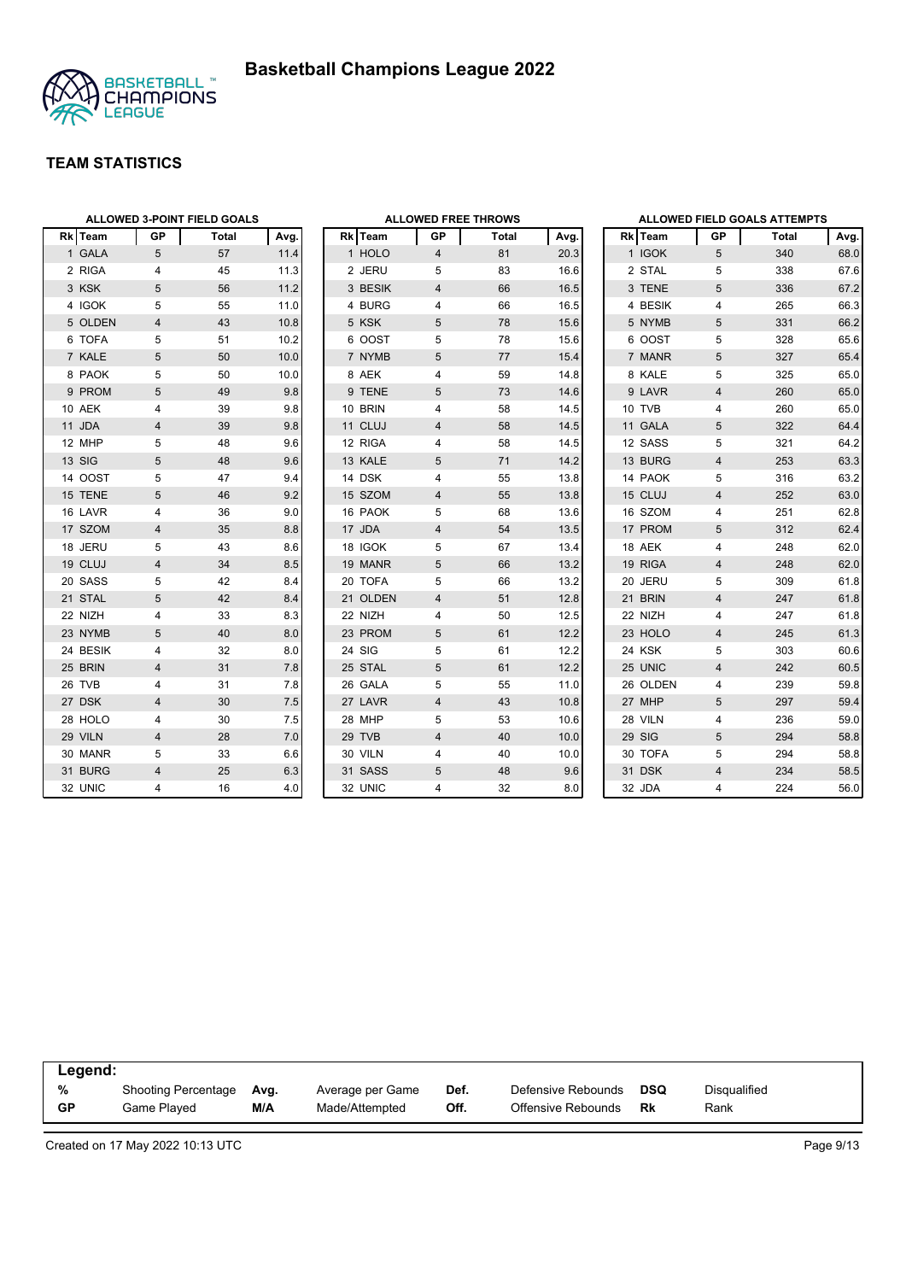

|                |                | <b>ALLOWED 3-POINT FIELD GOALS</b> |      |          |                | <b>ALLOWED FREE THROWS</b> |      |                |                         | <b>ALLOWED FIELD GOALS ATTEMPTS</b> |      |
|----------------|----------------|------------------------------------|------|----------|----------------|----------------------------|------|----------------|-------------------------|-------------------------------------|------|
| <b>Rk</b> Team | GP             | Total                              | Avg. | Rk Team  | GP             | Total                      | Avg. | <b>Rk</b> Team | GP                      | Total                               | Avg. |
| 1 GALA         | 5              | 57                                 | 11.4 | 1 HOLO   | $\overline{4}$ | 81                         | 20.3 | 1 IGOK         | 5                       | 340                                 | 68.0 |
| 2 RIGA         | 4              | 45                                 | 11.3 | 2 JERU   | 5              | 83                         | 16.6 | 2 STAL         | 5                       | 338                                 | 67.6 |
| 3 KSK          | 5              | 56                                 | 11.2 | 3 BESIK  | $\overline{4}$ | 66                         | 16.5 | 3 TENE         | 5                       | 336                                 | 67.2 |
| 4 IGOK         | 5              | 55                                 | 11.0 | 4 BURG   | 4              | 66                         | 16.5 | 4 BESIK        | 4                       | 265                                 | 66.3 |
| 5 OLDEN        | 4              | 43                                 | 10.8 | 5 KSK    | 5              | 78                         | 15.6 | 5 NYMB         | 5                       | 331                                 | 66.2 |
| 6 TOFA         | 5              | 51                                 | 10.2 | 6 OOST   | 5              | 78                         | 15.6 | 6 OOST         | 5                       | 328                                 | 65.6 |
| 7 KALE         | 5              | 50                                 | 10.0 | 7 NYMB   | 5              | 77                         | 15.4 | 7 MANR         | 5                       | 327                                 | 65.4 |
| 8 PAOK         | 5              | 50                                 | 10.0 | 8 AEK    | 4              | 59                         | 14.8 | 8 KALE         | 5                       | 325                                 | 65.0 |
| 9 PROM         | 5              | 49                                 | 9.8  | 9 TENE   | 5              | 73                         | 14.6 | 9 LAVR         | $\overline{4}$          | 260                                 | 65.0 |
| 10 AEK         | 4              | 39                                 | 9.8  | 10 BRIN  | 4              | 58                         | 14.5 | 10 TVB         | 4                       | 260                                 | 65.0 |
| 11 JDA         | 4              | 39                                 | 9.8  | 11 CLUJ  | 4              | 58                         | 14.5 | 11 GALA        | 5                       | 322                                 | 64.4 |
| 12 MHP         | 5              | 48                                 | 9.6  | 12 RIGA  | 4              | 58                         | 14.5 | 12 SASS        | 5                       | 321                                 | 64.2 |
| 13 SIG         | 5              | 48                                 | 9.6  | 13 KALE  | 5              | 71                         | 14.2 | 13 BURG        | $\overline{\mathbf{4}}$ | 253                                 | 63.3 |
| 14 OOST        | 5              | 47                                 | 9.4  | 14 DSK   | 4              | 55                         | 13.8 | 14 PAOK        | 5                       | 316                                 | 63.2 |
| 15 TENE        | 5              | 46                                 | 9.2  | 15 SZOM  | $\overline{4}$ | 55                         | 13.8 | 15 CLUJ        | $\overline{4}$          | 252                                 | 63.0 |
| 16 LAVR        | 4              | 36                                 | 9.0  | 16 PAOK  | 5              | 68                         | 13.6 | 16 SZOM        | 4                       | 251                                 | 62.8 |
| 17 SZOM        | $\overline{4}$ | 35                                 | 8.8  | 17 JDA   | $\overline{4}$ | 54                         | 13.5 | 17 PROM        | 5                       | 312                                 | 62.4 |
| 18 JERU        | 5              | 43                                 | 8.6  | 18 IGOK  | 5              | 67                         | 13.4 | 18 AEK         | 4                       | 248                                 | 62.0 |
| 19 CLUJ        | 4              | 34                                 | 8.5  | 19 MANR  | 5              | 66                         | 13.2 | 19 RIGA        | $\overline{4}$          | 248                                 | 62.0 |
| 20 SASS        | 5              | 42                                 | 8.4  | 20 TOFA  | 5              | 66                         | 13.2 | 20 JERU        | 5                       | 309                                 | 61.8 |
| 21 STAL        | 5              | 42                                 | 8.4  | 21 OLDEN | $\overline{4}$ | 51                         | 12.8 | 21 BRIN        | $\overline{4}$          | 247                                 | 61.8 |
| 22 NIZH        | 4              | 33                                 | 8.3  | 22 NIZH  | 4              | 50                         | 12.5 | 22 NIZH        | $\overline{4}$          | 247                                 | 61.8 |
| 23 NYMB        | 5              | 40                                 | 8.0  | 23 PROM  | 5              | 61                         | 12.2 | 23 HOLO        | $\overline{4}$          | 245                                 | 61.3 |
| 24 BESIK       | 4              | 32                                 | 8.0  | 24 SIG   | 5              | 61                         | 12.2 | 24 KSK         | 5                       | 303                                 | 60.6 |
| 25 BRIN        | $\overline{4}$ | 31                                 | 7.8  | 25 STAL  | 5              | 61                         | 12.2 | 25 UNIC        | $\overline{\mathbf{4}}$ | 242                                 | 60.5 |
| 26 TVB         | 4              | 31                                 | 7.8  | 26 GALA  | 5              | 55                         | 11.0 | 26 OLDEN       | 4                       | 239                                 | 59.8 |
| 27 DSK         | $\overline{4}$ | 30                                 | 7.5  | 27 LAVR  | $\overline{4}$ | 43                         | 10.8 | 27 MHP         | 5                       | 297                                 | 59.4 |
| 28 HOLO        | 4              | 30                                 | 7.5  | 28 MHP   | 5              | 53                         | 10.6 | 28 VILN        | $\overline{4}$          | 236                                 | 59.0 |
| 29 VILN        | 4              | 28                                 | 7.0  | 29 TVB   | 4              | 40                         | 10.0 | 29 SIG         | 5                       | 294                                 | 58.8 |
| 30 MANR        | 5              | 33                                 | 6.6  | 30 VILN  | 4              | 40                         | 10.0 | 30 TOFA        | 5                       | 294                                 | 58.8 |
| 31 BURG        | $\overline{4}$ | 25                                 | 6.3  | 31 SASS  | 5              | 48                         | 9.6  | 31 DSK         | $\overline{4}$          | 234                                 | 58.5 |
| 32 UNIC        | 4              | 16                                 | 4.0  | 32 UNIC  | 4              | 32                         | 8.0  | 32 JDA         | 4                       | 224                                 | 56.0 |

| Legend:   |                     |      |                  |      |                    |     |              |
|-----------|---------------------|------|------------------|------|--------------------|-----|--------------|
| %         | Shooting Percentage | Ava. | Average per Game | Def. | Defensive Rebounds | DSQ | Disqualified |
| <b>GP</b> | Game Played         | M/A  | Made/Attempted   | Off. | Offensive Rebounds | Rk  | Rank         |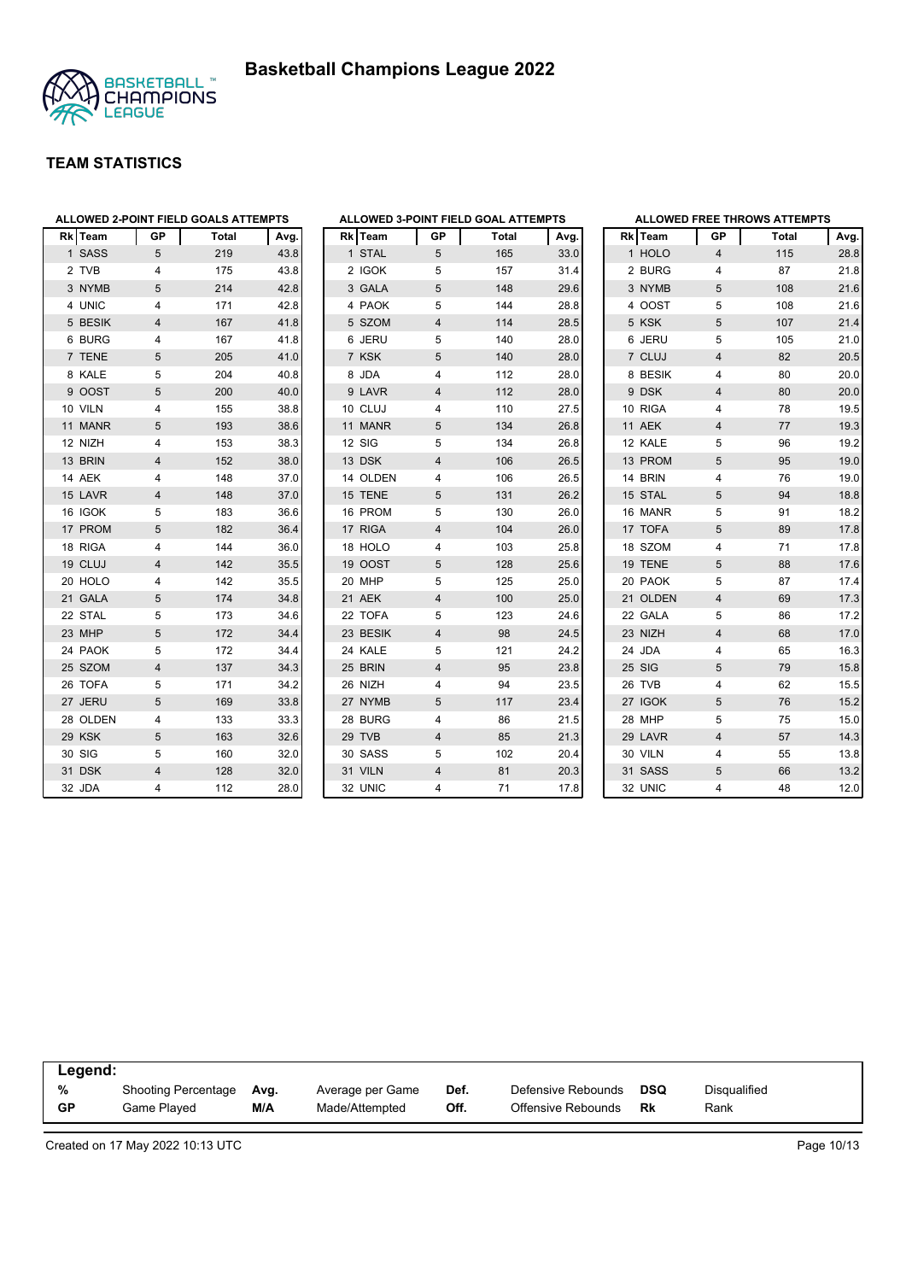



| <b>ALLOWED 2-POINT FIELD GOALS ATTEMPTS</b> |                |       |      |          |                | ALLOWED 3-POINT FIELD GOAL ATTEMPTS |      |          |    | <b>ALLOWED FREE THROWS ATTEMPTS</b> |      |
|---------------------------------------------|----------------|-------|------|----------|----------------|-------------------------------------|------|----------|----|-------------------------------------|------|
| Rk Team                                     | GP             | Total | Avg. | Rk Team  | GP             | Total                               | Avg. | Rk Team  | GP | Total                               | Avg  |
| 1 SASS                                      | 5              | 219   | 43.8 | 1 STAL   | $\sqrt{5}$     | 165                                 | 33.0 | 1 HOLO   | 4  | 115                                 | 28.8 |
| 2 TVB                                       | 4              | 175   | 43.8 | 2 IGOK   | 5              | 157                                 | 31.4 | 2 BURG   | 4  | 87                                  | 21.8 |
| 3 NYMB                                      | 5              | 214   | 42.8 | 3 GALA   | 5              | 148                                 | 29.6 | 3 NYMB   | 5  | 108                                 | 21.6 |
| 4 UNIC                                      | 4              | 171   | 42.8 | 4 PAOK   | 5              | 144                                 | 28.8 | 4 OOST   | 5  | 108                                 | 21.6 |
| 5 BESIK                                     | $\overline{4}$ | 167   | 41.8 | 5 SZOM   | 4              | 114                                 | 28.5 | 5 KSK    | 5  | 107                                 | 21.4 |
| 6 BURG                                      | 4              | 167   | 41.8 | 6 JERU   | 5              | 140                                 | 28.0 | 6 JERU   | 5  | 105                                 | 21.0 |
| 7 TENE                                      | 5              | 205   | 41.0 | 7 KSK    | 5              | 140                                 | 28.0 | 7 CLUJ   | 4  | 82                                  | 20.5 |
| 8 KALE                                      | 5              | 204   | 40.8 | 8 JDA    | 4              | 112                                 | 28.0 | 8 BESIK  | 4  | 80                                  | 20.0 |
| 9 OOST                                      | 5              | 200   | 40.0 | 9 LAVR   | $\overline{4}$ | 112                                 | 28.0 | 9 DSK    | 4  | 80                                  | 20.0 |
| 10 VILN                                     | 4              | 155   | 38.8 | 10 CLUJ  | 4              | 110                                 | 27.5 | 10 RIGA  | 4  | 78                                  | 19.5 |
| 11 MANR                                     | 5              | 193   | 38.6 | 11 MANR  | $\sqrt{5}$     | 134                                 | 26.8 | 11 AEK   | 4  | 77                                  | 19.3 |
| 12 NIZH                                     | 4              | 153   | 38.3 | 12 SIG   | 5              | 134                                 | 26.8 | 12 KALE  | 5  | 96                                  | 19.2 |
| 13 BRIN                                     | 4              | 152   | 38.0 | 13 DSK   | $\overline{4}$ | 106                                 | 26.5 | 13 PROM  | 5  | 95                                  | 19.0 |
| 14 AEK                                      | 4              | 148   | 37.0 | 14 OLDEN | 4              | 106                                 | 26.5 | 14 BRIN  | 4  | 76                                  | 19.0 |
| 15 LAVR                                     | 4              | 148   | 37.0 | 15 TENE  | 5              | 131                                 | 26.2 | 15 STAL  | 5  | 94                                  | 18.8 |
| 16 IGOK                                     | 5              | 183   | 36.6 | 16 PROM  | 5              | 130                                 | 26.0 | 16 MANR  | 5  | 91                                  | 18.2 |
| 17 PROM                                     | 5              | 182   | 36.4 | 17 RIGA  | 4              | 104                                 | 26.0 | 17 TOFA  | 5  | 89                                  | 17.8 |
| 18 RIGA                                     | $\overline{4}$ | 144   | 36.0 | 18 HOLO  | 4              | 103                                 | 25.8 | 18 SZOM  | 4  | 71                                  | 17.8 |
| 19 CLUJ                                     | 4              | 142   | 35.5 | 19 OOST  | 5              | 128                                 | 25.6 | 19 TENE  | 5  | 88                                  | 17.6 |
| 20 HOLO                                     | 4              | 142   | 35.5 | 20 MHP   | 5              | 125                                 | 25.0 | 20 PAOK  | 5  | 87                                  | 17.4 |
| 21 GALA                                     | 5              | 174   | 34.8 | 21 AEK   | $\overline{4}$ | 100                                 | 25.0 | 21 OLDEN | 4  | 69                                  | 17.3 |
| 22 STAL                                     | 5              | 173   | 34.6 | 22 TOFA  | 5              | 123                                 | 24.6 | 22 GALA  | 5  | 86                                  | 17.2 |
| 23 MHP                                      | 5              | 172   | 34.4 | 23 BESIK | 4              | 98                                  | 24.5 | 23 NIZH  | 4  | 68                                  | 17.0 |
| 24 PAOK                                     | 5              | 172   | 34.4 | 24 KALE  | 5              | 121                                 | 24.2 | 24 JDA   | 4  | 65                                  | 16.3 |
| 25 SZOM                                     | 4              | 137   | 34.3 | 25 BRIN  | $\overline{4}$ | 95                                  | 23.8 | 25 SIG   | 5  | 79                                  | 15.8 |
| 26 TOFA                                     | 5              | 171   | 34.2 | 26 NIZH  | 4              | 94                                  | 23.5 | 26 TVB   | 4  | 62                                  | 15.5 |
| 27 JERU                                     | 5              | 169   | 33.8 | 27 NYMB  | 5              | 117                                 | 23.4 | 27 IGOK  | 5  | 76                                  | 15.2 |
| 28 OLDEN                                    | 4              | 133   | 33.3 | 28 BURG  | 4              | 86                                  | 21.5 | 28 MHP   | 5  | 75                                  | 15.0 |
| 29 KSK                                      | 5              | 163   | 32.6 | 29 TVB   | 4              | 85                                  | 21.3 | 29 LAVR  | 4  | 57                                  | 14.3 |
| 30 SIG                                      | 5              | 160   | 32.0 | 30 SASS  | 5              | 102                                 | 20.4 | 30 VILN  | 4  | 55                                  | 13.8 |
| 31 DSK                                      | $\overline{4}$ | 128   | 32.0 | 31 VILN  | $\overline{4}$ | 81                                  | 20.3 | 31 SASS  | 5  | 66                                  | 13.2 |
| 32 JDA                                      | 4              | 112   | 28.0 | 32 UNIC  | 4              | 71                                  | 17.8 | 32 UNIC  | 4  | 48                                  | 12.0 |

| Legend:   |                     |      |                  |      |                    |            |                     |
|-----------|---------------------|------|------------------|------|--------------------|------------|---------------------|
| %         | Shooting Percentage | Ava. | Average per Game | Def. | Defensive Rebounds | <b>DSQ</b> | <b>Disqualified</b> |
| <b>GP</b> | Game Played         | M/A  | Made/Attempted   | Off. | Offensive Rebounds | Rk         | Rank                |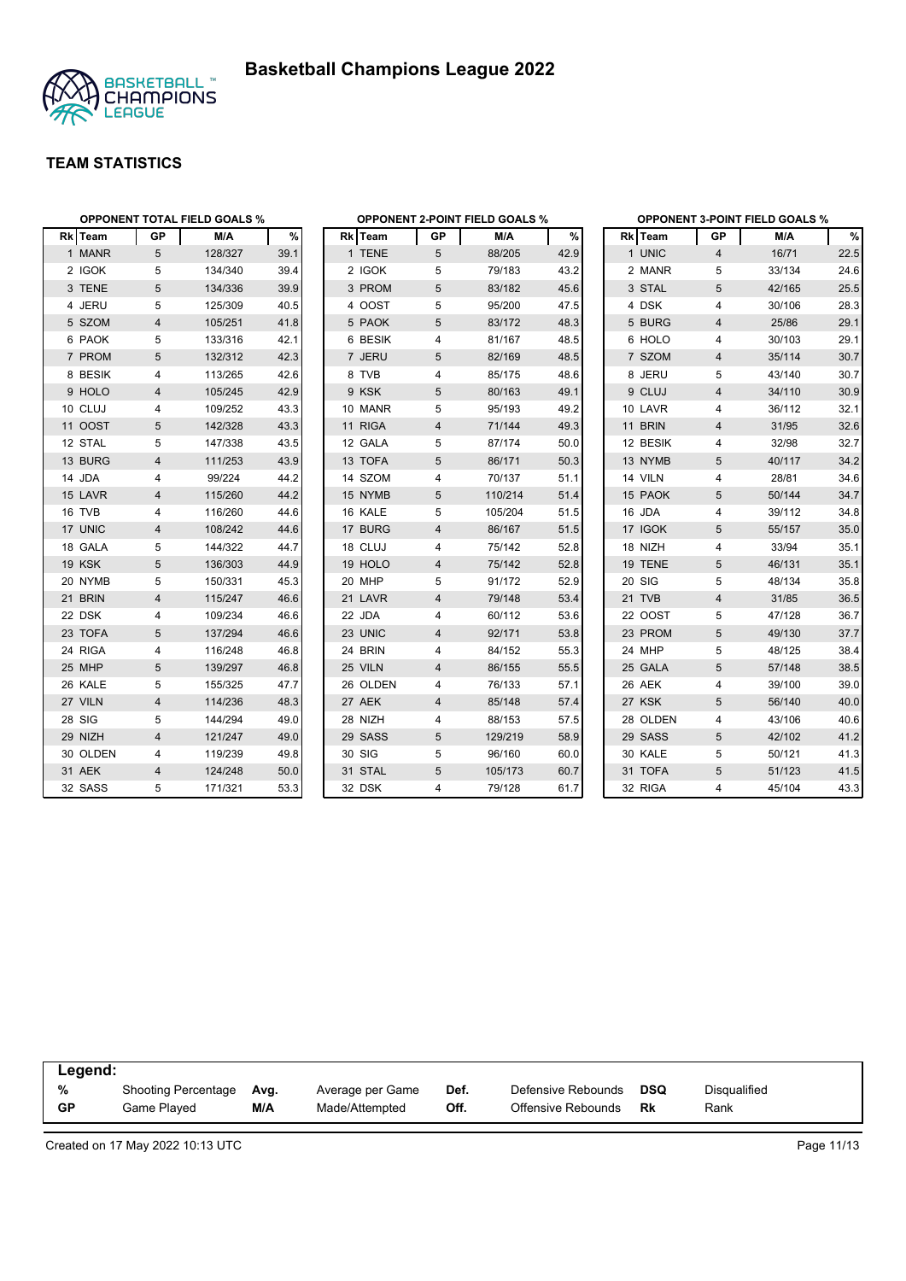



|          |                | <b>OPPONENT TOTAL FIELD GOALS %</b> |      |          |                | <b>OPPONENT 2-POINT FIELD GOALS %</b> |      |          |                | <b>OPPONENT 3-POINT FIELD GOALS %</b> |      |
|----------|----------------|-------------------------------------|------|----------|----------------|---------------------------------------|------|----------|----------------|---------------------------------------|------|
| Rk Team  | GP             | M/A                                 | %    | Rk Team  | GP             | M/A                                   | $\%$ | Rk Team  | GP             | M/A                                   | $\%$ |
| 1 MANR   | 5              | 128/327                             | 39.1 | 1 TENE   | 5              | 88/205                                | 42.9 | 1 UNIC   | $\overline{4}$ | 16/71                                 | 22.5 |
| 2 IGOK   | 5              | 134/340                             | 39.4 | 2 IGOK   | 5              | 79/183                                | 43.2 | 2 MANR   | 5              | 33/134                                | 24.6 |
| 3 TENE   | 5              | 134/336                             | 39.9 | 3 PROM   | 5              | 83/182                                | 45.6 | 3 STAL   | 5              | 42/165                                | 25.5 |
| 4 JERU   | 5              | 125/309                             | 40.5 | 4 OOST   | 5              | 95/200                                | 47.5 | 4 DSK    | 4              | 30/106                                | 28.3 |
| 5 SZOM   | 4              | 105/251                             | 41.8 | 5 PAOK   | 5              | 83/172                                | 48.3 | 5 BURG   | 4              | 25/86                                 | 29.1 |
| 6 PAOK   | 5              | 133/316                             | 42.1 | 6 BESIK  | 4              | 81/167                                | 48.5 | 6 HOLO   | 4              | 30/103                                | 29.1 |
| 7 PROM   | 5              | 132/312                             | 42.3 | 7 JERU   | 5              | 82/169                                | 48.5 | 7 SZOM   | 4              | 35/114                                | 30.7 |
| 8 BESIK  | 4              | 113/265                             | 42.6 | 8 TVB    | 4              | 85/175                                | 48.6 | 8 JERU   | 5              | 43/140                                | 30.7 |
| 9 HOLO   | 4              | 105/245                             | 42.9 | 9 KSK    | 5              | 80/163                                | 49.1 | 9 CLUJ   | $\overline{4}$ | 34/110                                | 30.9 |
| 10 CLUJ  | 4              | 109/252                             | 43.3 | 10 MANR  | 5              | 95/193                                | 49.2 | 10 LAVR  | 4              | 36/112                                | 32.1 |
| 11 OOST  | 5              | 142/328                             | 43.3 | 11 RIGA  | $\overline{4}$ | 71/144                                | 49.3 | 11 BRIN  | $\overline{4}$ | 31/95                                 | 32.6 |
| 12 STAL  | 5              | 147/338                             | 43.5 | 12 GALA  | 5              | 87/174                                | 50.0 | 12 BESIK | 4              | 32/98                                 | 32.7 |
| 13 BURG  | 4              | 111/253                             | 43.9 | 13 TOFA  | 5              | 86/171                                | 50.3 | 13 NYMB  | 5              | 40/117                                | 34.2 |
| 14 JDA   | 4              | 99/224                              | 44.2 | 14 SZOM  | 4              | 70/137                                | 51.1 | 14 VILN  | 4              | 28/81                                 | 34.6 |
| 15 LAVR  | $\overline{4}$ | 115/260                             | 44.2 | 15 NYMB  | 5              | 110/214                               | 51.4 | 15 PAOK  | 5              | 50/144                                | 34.7 |
| 16 TVB   | 4              | 116/260                             | 44.6 | 16 KALE  | 5              | 105/204                               | 51.5 | 16 JDA   | 4              | 39/112                                | 34.8 |
| 17 UNIC  | 4              | 108/242                             | 44.6 | 17 BURG  | 4              | 86/167                                | 51.5 | 17 IGOK  | 5              | 55/157                                | 35.0 |
| 18 GALA  | 5              | 144/322                             | 44.7 | 18 CLUJ  | 4              | 75/142                                | 52.8 | 18 NIZH  | 4              | 33/94                                 | 35.1 |
| 19 KSK   | 5              | 136/303                             | 44.9 | 19 HOLO  | 4              | 75/142                                | 52.8 | 19 TENE  | 5              | 46/131                                | 35.1 |
| 20 NYMB  | 5              | 150/331                             | 45.3 | 20 MHP   | 5              | 91/172                                | 52.9 | 20 SIG   | 5              | 48/134                                | 35.8 |
| 21 BRIN  | 4              | 115/247                             | 46.6 | 21 LAVR  | 4              | 79/148                                | 53.4 | 21 TVB   | $\overline{4}$ | 31/85                                 | 36.5 |
| 22 DSK   | 4              | 109/234                             | 46.6 | 22 JDA   | 4              | 60/112                                | 53.6 | 22 OOST  | 5              | 47/128                                | 36.7 |
| 23 TOFA  | 5              | 137/294                             | 46.6 | 23 UNIC  | 4              | 92/171                                | 53.8 | 23 PROM  | 5              | 49/130                                | 37.7 |
| 24 RIGA  | 4              | 116/248                             | 46.8 | 24 BRIN  | 4              | 84/152                                | 55.3 | 24 MHP   | 5              | 48/125                                | 38.4 |
| 25 MHP   | 5              | 139/297                             | 46.8 | 25 VILN  | 4              | 86/155                                | 55.5 | 25 GALA  | 5              | 57/148                                | 38.5 |
| 26 KALE  | 5              | 155/325                             | 47.7 | 26 OLDEN | 4              | 76/133                                | 57.1 | 26 AEK   | 4              | 39/100                                | 39.0 |
| 27 VILN  | 4              | 114/236                             | 48.3 | 27 AEK   | 4              | 85/148                                | 57.4 | 27 KSK   | 5              | 56/140                                | 40.0 |
| 28 SIG   | 5              | 144/294                             | 49.0 | 28 NIZH  | 4              | 88/153                                | 57.5 | 28 OLDEN | 4              | 43/106                                | 40.6 |
| 29 NIZH  | 4              | 121/247                             | 49.0 | 29 SASS  | 5              | 129/219                               | 58.9 | 29 SASS  | 5              | 42/102                                | 41.2 |
| 30 OLDEN | 4              | 119/239                             | 49.8 | 30 SIG   | 5              | 96/160                                | 60.0 | 30 KALE  | 5              | 50/121                                | 41.3 |
| 31 AEK   | $\overline{4}$ | 124/248                             | 50.0 | 31 STAL  | 5              | 105/173                               | 60.7 | 31 TOFA  | 5              | 51/123                                | 41.5 |
| 32 SASS  | 5              | 171/321                             | 53.3 | 32 DSK   | 4              | 79/128                                | 61.7 | 32 RIGA  | $\overline{4}$ | 45/104                                | 43.3 |

| Legend:   |                            |      |                  |      |                    |     |              |
|-----------|----------------------------|------|------------------|------|--------------------|-----|--------------|
| %         | <b>Shooting Percentage</b> | Avg. | Average per Game | Def. | Defensive Rebounds | DSQ | Disqualified |
| <b>GP</b> | Game Plaved                | M/A  | Made/Attempted   | Off. | Offensive Rebounds | Rk  | Rank         |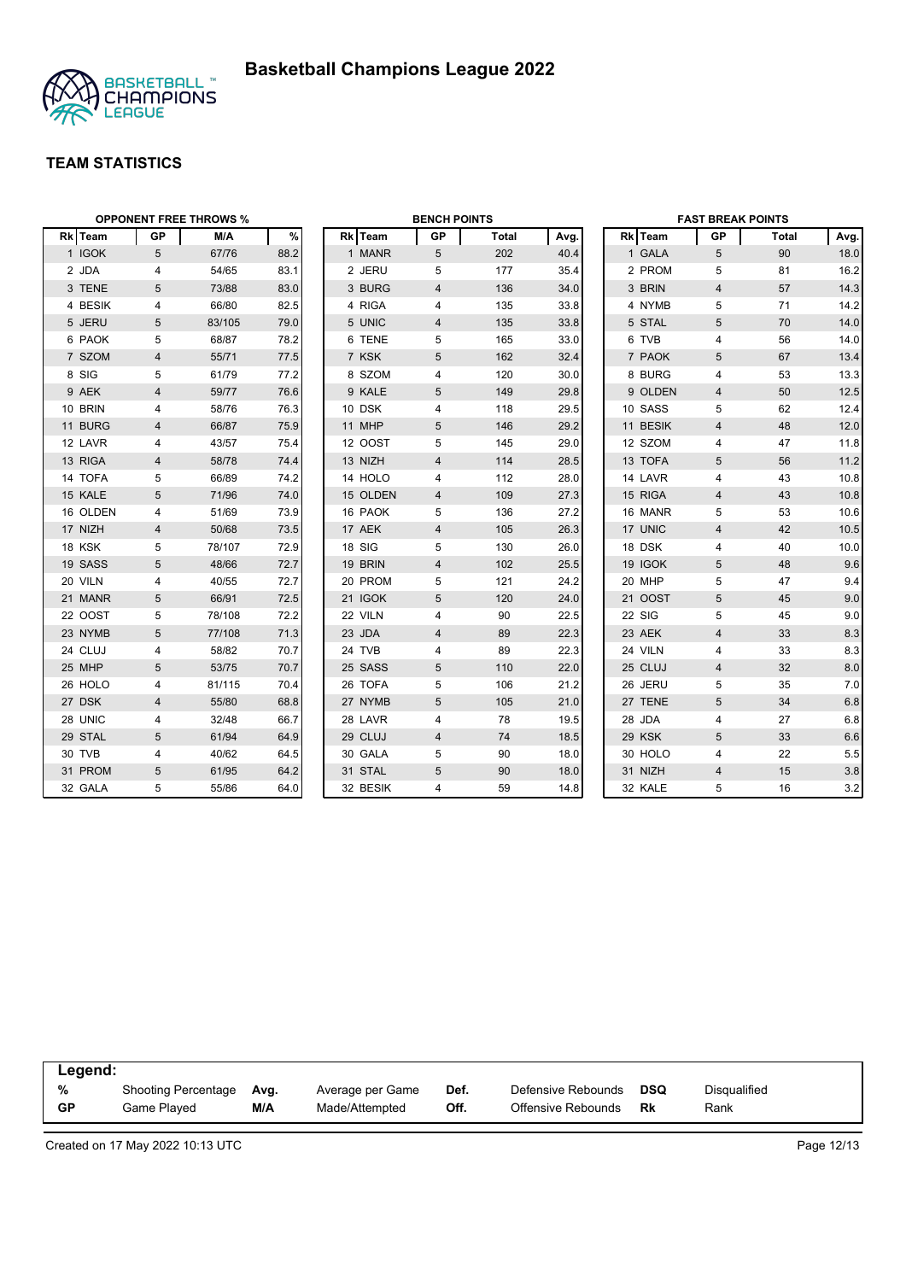



|          |                | <b>OPPONENT FREE THROWS %</b> |      |          | <b>BENCH POINTS</b> |       |      |          | <b>FAST BREAK POINTS</b> |       |      |
|----------|----------------|-------------------------------|------|----------|---------------------|-------|------|----------|--------------------------|-------|------|
| Rk Team  | <b>GP</b>      | M/A                           | $\%$ | Rk Team  | GP                  | Total | Avg. | Rk Team  | GP                       | Total | Avg. |
| 1 IGOK   | 5              | 67/76                         | 88.2 | 1 MANR   | 5                   | 202   | 40.4 | 1 GALA   | 5                        | 90    | 18.0 |
| 2 JDA    | 4              | 54/65                         | 83.1 | 2 JERU   | 5                   | 177   | 35.4 | 2 PROM   | 5                        | 81    | 16.2 |
| 3 TENE   | 5              | 73/88                         | 83.0 | 3 BURG   | 4                   | 136   | 34.0 | 3 BRIN   | $\overline{4}$           | 57    | 14.3 |
| 4 BESIK  | 4              | 66/80                         | 82.5 | 4 RIGA   | 4                   | 135   | 33.8 | 4 NYMB   | 5                        | 71    | 14.2 |
| 5 JERU   | 5              | 83/105                        | 79.0 | 5 UNIC   | 4                   | 135   | 33.8 | 5 STAL   | 5                        | 70    | 14.0 |
| 6 PAOK   | 5              | 68/87                         | 78.2 | 6 TENE   | 5                   | 165   | 33.0 | 6 TVB    | $\overline{4}$           | 56    | 14.0 |
| 7 SZOM   | 4              | 55/71                         | 77.5 | 7 KSK    | 5                   | 162   | 32.4 | 7 PAOK   | 5                        | 67    | 13.4 |
| 8 SIG    | 5              | 61/79                         | 77.2 | 8 SZOM   | 4                   | 120   | 30.0 | 8 BURG   | 4                        | 53    | 13.3 |
| 9 AEK    | 4              | 59/77                         | 76.6 | 9 KALE   | 5                   | 149   | 29.8 | 9 OLDEN  | 4                        | 50    | 12.5 |
| 10 BRIN  | 4              | 58/76                         | 76.3 | 10 DSK   | 4                   | 118   | 29.5 | 10 SASS  | 5                        | 62    | 12.4 |
| 11 BURG  | 4              | 66/87                         | 75.9 | 11 MHP   | 5                   | 146   | 29.2 | 11 BESIK | $\overline{4}$           | 48    | 12.0 |
| 12 LAVR  | 4              | 43/57                         | 75.4 | 12 OOST  | 5                   | 145   | 29.0 | 12 SZOM  | $\overline{4}$           | 47    | 11.8 |
| 13 RIGA  | $\overline{4}$ | 58/78                         | 74.4 | 13 NIZH  | 4                   | 114   | 28.5 | 13 TOFA  | 5                        | 56    | 11.2 |
| 14 TOFA  | 5              | 66/89                         | 74.2 | 14 HOLO  | 4                   | 112   | 28.0 | 14 LAVR  | 4                        | 43    | 10.8 |
| 15 KALE  | 5              | 71/96                         | 74.0 | 15 OLDEN | 4                   | 109   | 27.3 | 15 RIGA  | $\overline{4}$           | 43    | 10.8 |
| 16 OLDEN | 4              | 51/69                         | 73.9 | 16 PAOK  | 5                   | 136   | 27.2 | 16 MANR  | 5                        | 53    | 10.6 |
| 17 NIZH  | $\overline{4}$ | 50/68                         | 73.5 | 17 AEK   | 4                   | 105   | 26.3 | 17 UNIC  | $\overline{4}$           | 42    | 10.5 |
| 18 KSK   | 5              | 78/107                        | 72.9 | 18 SIG   | 5                   | 130   | 26.0 | 18 DSK   | $\overline{4}$           | 40    | 10.0 |
| 19 SASS  | 5              | 48/66                         | 72.7 | 19 BRIN  | 4                   | 102   | 25.5 | 19 IGOK  | 5                        | 48    | 9.6  |
| 20 VILN  | 4              | 40/55                         | 72.7 | 20 PROM  | 5                   | 121   | 24.2 | 20 MHP   | 5                        | 47    | 9.4  |
| 21 MANR  | 5              | 66/91                         | 72.5 | 21 IGOK  | 5                   | 120   | 24.0 | 21 OOST  | 5                        | 45    | 9.0  |
| 22 OOST  | 5              | 78/108                        | 72.2 | 22 VILN  | 4                   | 90    | 22.5 | 22 SIG   | 5                        | 45    | 9.0  |
| 23 NYMB  | 5              | 77/108                        | 71.3 | 23 JDA   | 4                   | 89    | 22.3 | 23 AEK   | $\overline{4}$           | 33    | 8.3  |
| 24 CLUJ  | 4              | 58/82                         | 70.7 | 24 TVB   | 4                   | 89    | 22.3 | 24 VILN  | 4                        | 33    | 8.3  |
| 25 MHP   | 5              | 53/75                         | 70.7 | 25 SASS  | 5                   | 110   | 22.0 | 25 CLUJ  | $\overline{4}$           | 32    | 8.0  |
| 26 HOLO  | 4              | 81/115                        | 70.4 | 26 TOFA  | 5                   | 106   | 21.2 | 26 JERU  | 5                        | 35    | 7.0  |
| 27 DSK   | $\overline{4}$ | 55/80                         | 68.8 | 27 NYMB  | 5                   | 105   | 21.0 | 27 TENE  | $\overline{5}$           | 34    | 6.8  |
| 28 UNIC  | 4              | 32/48                         | 66.7 | 28 LAVR  | 4                   | 78    | 19.5 | 28 JDA   | $\overline{4}$           | 27    | 6.8  |
| 29 STAL  | 5              | 61/94                         | 64.9 | 29 CLUJ  | 4                   | 74    | 18.5 | 29 KSK   | 5                        | 33    | 6.6  |
| 30 TVB   | 4              | 40/62                         | 64.5 | 30 GALA  | 5                   | 90    | 18.0 | 30 HOLO  | 4                        | 22    | 5.5  |
| 31 PROM  | 5              | 61/95                         | 64.2 | 31 STAL  | 5                   | 90    | 18.0 | 31 NIZH  | $\overline{4}$           | 15    | 3.8  |
| 32 GALA  | 5              | 55/86                         | 64.0 | 32 BESIK | 4                   | 59    | 14.8 | 32 KALE  | 5                        | 16    | 3.2  |

| Legend:   |                            |      |                  |      |                    |            |                     |
|-----------|----------------------------|------|------------------|------|--------------------|------------|---------------------|
| %         | <b>Shooting Percentage</b> | Avg. | Average per Game | Def. | Defensive Rebounds | <b>DSQ</b> | <b>Disqualified</b> |
| <b>GP</b> | Game Played                | M/A  | Made/Attempted   | Off. | Offensive Rebounds | Rk         | Rank                |